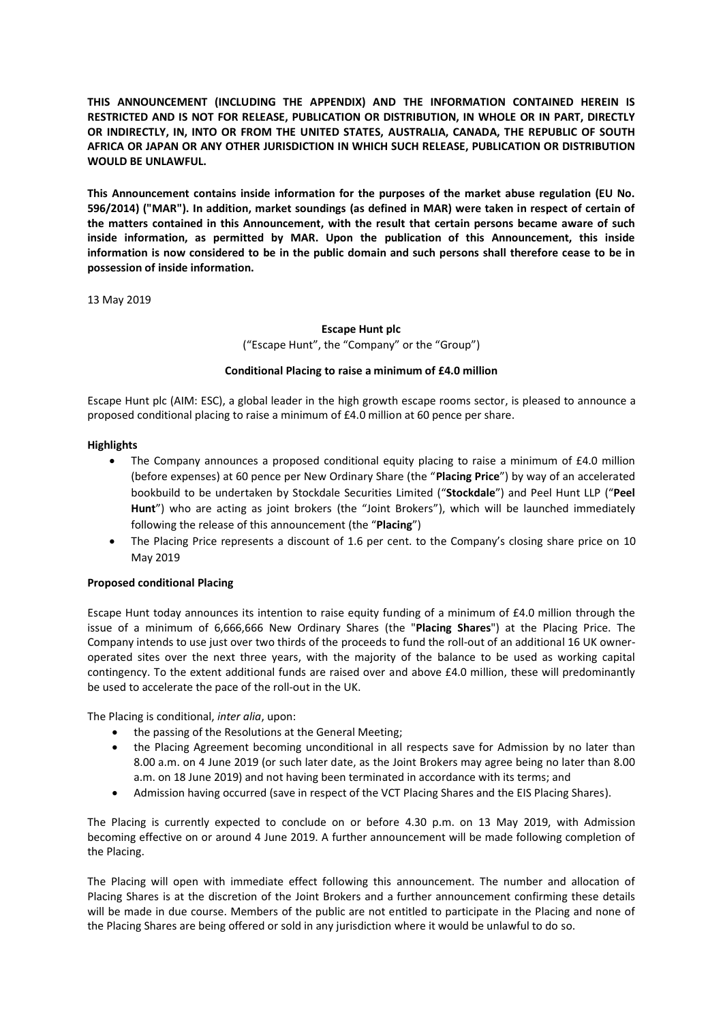**THIS ANNOUNCEMENT (INCLUDING THE APPENDIX) AND THE INFORMATION CONTAINED HEREIN IS RESTRICTED AND IS NOT FOR RELEASE, PUBLICATION OR DISTRIBUTION, IN WHOLE OR IN PART, DIRECTLY OR INDIRECTLY, IN, INTO OR FROM THE UNITED STATES, AUSTRALIA, CANADA, THE REPUBLIC OF SOUTH AFRICA OR JAPAN OR ANY OTHER JURISDICTION IN WHICH SUCH RELEASE, PUBLICATION OR DISTRIBUTION WOULD BE UNLAWFUL.**

**This Announcement contains inside information for the purposes of the market abuse regulation (EU No. 596/2014) ("MAR"). In addition, market soundings (as defined in MAR) were taken in respect of certain of the matters contained in this Announcement, with the result that certain persons became aware of such inside information, as permitted by MAR. Upon the publication of this Announcement, this inside information is now considered to be in the public domain and such persons shall therefore cease to be in possession of inside information.**

13 May 2019

### **Escape Hunt plc**

("Escape Hunt", the "Company" or the "Group")

# **Conditional Placing to raise a minimum of £4.0 million**

Escape Hunt plc (AIM: ESC), a global leader in the high growth escape rooms sector, is pleased to announce a proposed conditional placing to raise a minimum of £4.0 million at 60 pence per share.

### **Highlights**

- The Company announces a proposed conditional equity placing to raise a minimum of £4.0 million (before expenses) at 60 pence per New Ordinary Share (the "**Placing Price**") by way of an accelerated bookbuild to be undertaken by Stockdale Securities Limited ("**Stockdale**") and Peel Hunt LLP ("**Peel Hunt**") who are acting as joint brokers (the "Joint Brokers"), which will be launched immediately following the release of this announcement (the "**Placing**")
- The Placing Price represents a discount of 1.6 per cent. to the Company's closing share price on 10 May 2019

# **Proposed conditional Placing**

Escape Hunt today announces its intention to raise equity funding of a minimum of £4.0 million through the issue of a minimum of 6,666,666 New Ordinary Shares (the "**Placing Shares**") at the Placing Price. The Company intends to use just over two thirds of the proceeds to fund the roll-out of an additional 16 UK owneroperated sites over the next three years, with the majority of the balance to be used as working capital contingency. To the extent additional funds are raised over and above £4.0 million, these will predominantly be used to accelerate the pace of the roll-out in the UK.

The Placing is conditional, *inter alia*, upon:

- the passing of the Resolutions at the General Meeting;
- the Placing Agreement becoming unconditional in all respects save for Admission by no later than 8.00 a.m. on 4 June 2019 (or such later date, as the Joint Brokers may agree being no later than 8.00 a.m. on 18 June 2019) and not having been terminated in accordance with its terms; and
- Admission having occurred (save in respect of the VCT Placing Shares and the EIS Placing Shares).

The Placing is currently expected to conclude on or before 4.30 p.m. on 13 May 2019, with Admission becoming effective on or around 4 June 2019. A further announcement will be made following completion of the Placing.

The Placing will open with immediate effect following this announcement. The number and allocation of Placing Shares is at the discretion of the Joint Brokers and a further announcement confirming these details will be made in due course. Members of the public are not entitled to participate in the Placing and none of the Placing Shares are being offered or sold in any jurisdiction where it would be unlawful to do so.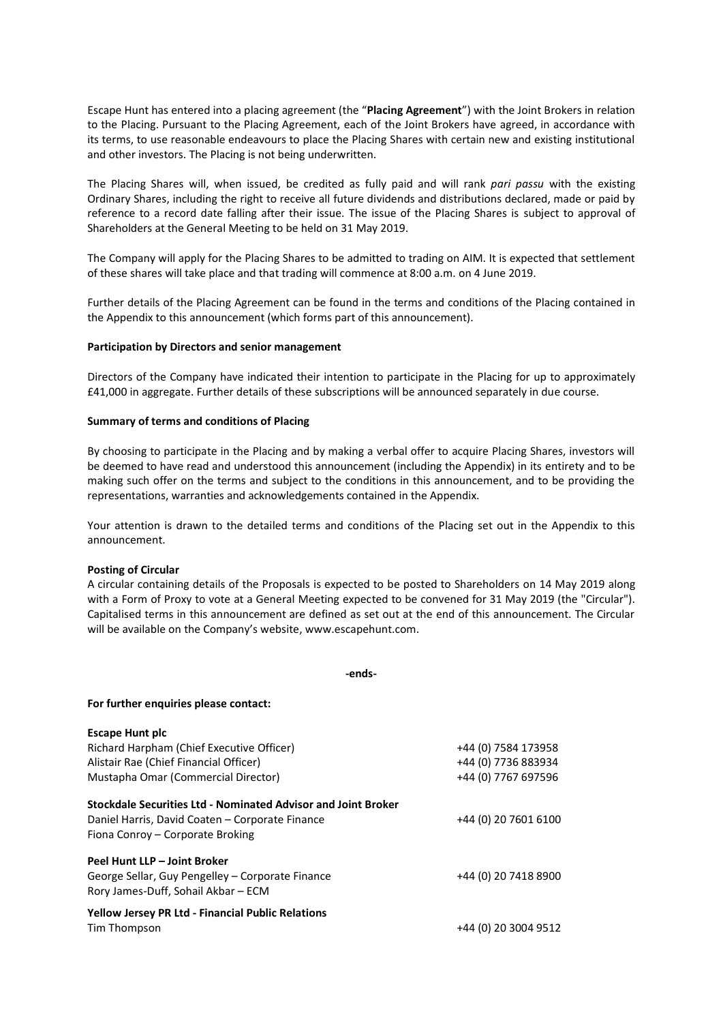Escape Hunt has entered into a placing agreement (the "**Placing Agreement**") with the Joint Brokers in relation to the Placing. Pursuant to the Placing Agreement, each of the Joint Brokers have agreed, in accordance with its terms, to use reasonable endeavours to place the Placing Shares with certain new and existing institutional and other investors. The Placing is not being underwritten.

The Placing Shares will, when issued, be credited as fully paid and will rank *pari passu* with the existing Ordinary Shares, including the right to receive all future dividends and distributions declared, made or paid by reference to a record date falling after their issue. The issue of the Placing Shares is subject to approval of Shareholders at the General Meeting to be held on 31 May 2019.

The Company will apply for the Placing Shares to be admitted to trading on AIM. It is expected that settlement of these shares will take place and that trading will commence at 8:00 a.m. on 4 June 2019.

Further details of the Placing Agreement can be found in the terms and conditions of the Placing contained in the Appendix to this announcement (which forms part of this announcement).

#### **Participation by Directors and senior management**

Directors of the Company have indicated their intention to participate in the Placing for up to approximately £41,000 in aggregate. Further details of these subscriptions will be announced separately in due course.

#### **Summary of terms and conditions of Placing**

By choosing to participate in the Placing and by making a verbal offer to acquire Placing Shares, investors will be deemed to have read and understood this announcement (including the Appendix) in its entirety and to be making such offer on the terms and subject to the conditions in this announcement, and to be providing the representations, warranties and acknowledgements contained in the Appendix.

Your attention is drawn to the detailed terms and conditions of the Placing set out in the Appendix to this announcement.

#### **Posting of Circular**

**For further enquiries please contact:**

A circular containing details of the Proposals is expected to be posted to Shareholders on 14 May 2019 along with a Form of Proxy to vote at a General Meeting expected to be convened for 31 May 2019 (the "Circular"). Capitalised terms in this announcement are defined as set out at the end of this announcement. The Circular will be available on the Company's website[, www.escapehunt.com.](http://www.escapehunt.com/)

#### **-ends-**

| <b>Escape Hunt plc</b>                                                                                           |                      |
|------------------------------------------------------------------------------------------------------------------|----------------------|
| Richard Harpham (Chief Executive Officer)                                                                        | +44 (0) 7584 173958  |
| Alistair Rae (Chief Financial Officer)                                                                           | +44 (0) 7736 883934  |
| Mustapha Omar (Commercial Director)                                                                              | +44 (0) 7767 697596  |
| Stockdale Securities Ltd - Nominated Advisor and Joint Broker<br>Daniel Harris, David Coaten – Corporate Finance | +44 (0) 20 7601 6100 |
| Fiona Conroy – Corporate Broking                                                                                 |                      |
| Peel Hunt LLP - Joint Broker                                                                                     |                      |
| George Sellar, Guy Pengelley – Corporate Finance                                                                 | +44 (0) 20 7418 8900 |
| Rory James-Duff, Sohail Akbar - ECM                                                                              |                      |
| <b>Yellow Jersey PR Ltd - Financial Public Relations</b>                                                         |                      |
| Tim Thompson                                                                                                     | +44 (0) 20 3004 9512 |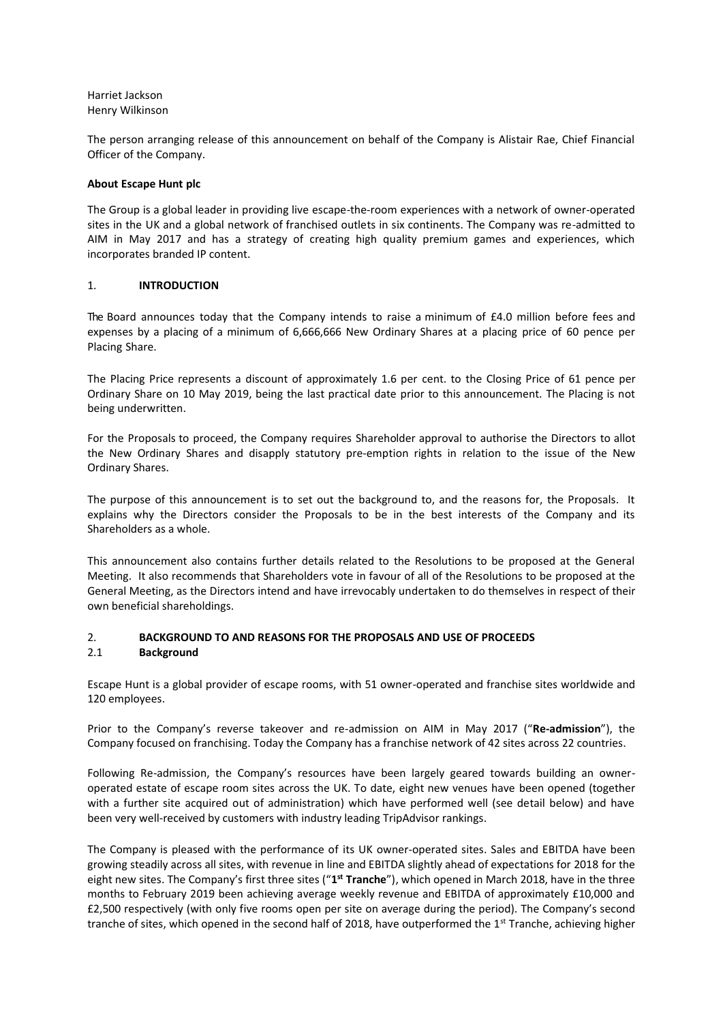Harriet Jackson Henry Wilkinson

The person arranging release of this announcement on behalf of the Company is Alistair Rae, Chief Financial Officer of the Company.

### **About Escape Hunt plc**

The Group is a global leader in providing live escape-the-room experiences with a network of owner-operated sites in the UK and a global network of franchised outlets in six continents. The Company was re-admitted to AIM in May 2017 and has a strategy of creating high quality premium games and experiences, which incorporates branded IP content.

# 1. **INTRODUCTION**

The Board announces today that the Company intends to raise a minimum of £4.0 million before fees and expenses by a placing of a minimum of 6,666,666 New Ordinary Shares at a placing price of 60 pence per Placing Share.

The Placing Price represents a discount of approximately 1.6 per cent. to the Closing Price of 61 pence per Ordinary Share on 10 May 2019, being the last practical date prior to this announcement. The Placing is not being underwritten.

For the Proposals to proceed, the Company requires Shareholder approval to authorise the Directors to allot the New Ordinary Shares and disapply statutory pre-emption rights in relation to the issue of the New Ordinary Shares.

The purpose of this announcement is to set out the background to, and the reasons for, the Proposals. It explains why the Directors consider the Proposals to be in the best interests of the Company and its Shareholders as a whole.

This announcement also contains further details related to the Resolutions to be proposed at the General Meeting. It also recommends that Shareholders vote in favour of all of the Resolutions to be proposed at the General Meeting, as the Directors intend and have irrevocably undertaken to do themselves in respect of their own beneficial shareholdings.

# 2. **BACKGROUND TO AND REASONS FOR THE PROPOSALS AND USE OF PROCEEDS**

# 2.1 **Background**

Escape Hunt is a global provider of escape rooms, with 51 owner-operated and franchise sites worldwide and 120 employees.

Prior to the Company's reverse takeover and re-admission on AIM in May 2017 ("**Re-admission**"), the Company focused on franchising. Today the Company has a franchise network of 42 sites across 22 countries.

Following Re-admission, the Company's resources have been largely geared towards building an owneroperated estate of escape room sites across the UK. To date, eight new venues have been opened (together with a further site acquired out of administration) which have performed well (see detail below) and have been very well-received by customers with industry leading TripAdvisor rankings.

The Company is pleased with the performance of its UK owner-operated sites. Sales and EBITDA have been growing steadily across all sites, with revenue in line and EBITDA slightly ahead of expectations for 2018 for the eight new sites. The Company's first three sites ("1<sup>st</sup> Tranche"), which opened in March 2018, have in the three months to February 2019 been achieving average weekly revenue and EBITDA of approximately £10,000 and £2,500 respectively (with only five rooms open per site on average during the period). The Company's second tranche of sites, which opened in the second half of 2018, have outperformed the 1<sup>st</sup> Tranche, achieving higher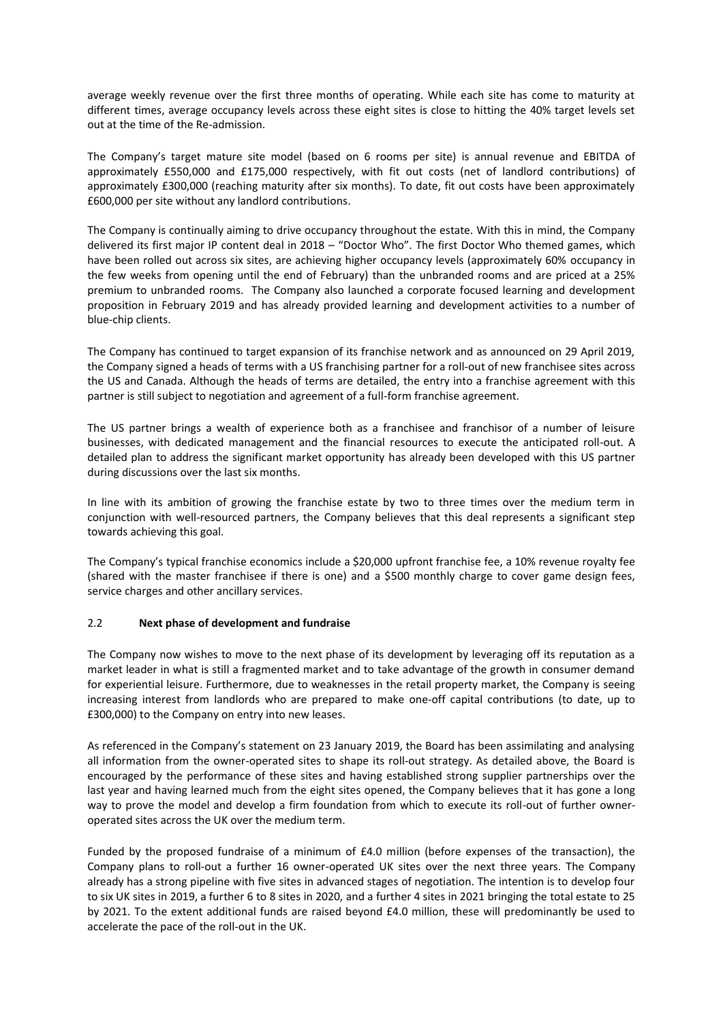average weekly revenue over the first three months of operating. While each site has come to maturity at different times, average occupancy levels across these eight sites is close to hitting the 40% target levels set out at the time of the Re-admission.

The Company's target mature site model (based on 6 rooms per site) is annual revenue and EBITDA of approximately £550,000 and £175,000 respectively, with fit out costs (net of landlord contributions) of approximately £300,000 (reaching maturity after six months). To date, fit out costs have been approximately £600,000 per site without any landlord contributions.

The Company is continually aiming to drive occupancy throughout the estate. With this in mind, the Company delivered its first major IP content deal in 2018 – "Doctor Who". The first Doctor Who themed games, which have been rolled out across six sites, are achieving higher occupancy levels (approximately 60% occupancy in the few weeks from opening until the end of February) than the unbranded rooms and are priced at a 25% premium to unbranded rooms. The Company also launched a corporate focused learning and development proposition in February 2019 and has already provided learning and development activities to a number of blue-chip clients.

The Company has continued to target expansion of its franchise network and as announced on 29 April 2019, the Company signed a heads of terms with a US franchising partner for a roll-out of new franchisee sites across the US and Canada. Although the heads of terms are detailed, the entry into a franchise agreement with this partner is still subject to negotiation and agreement of a full-form franchise agreement.

The US partner brings a wealth of experience both as a franchisee and franchisor of a number of leisure businesses, with dedicated management and the financial resources to execute the anticipated roll-out. A detailed plan to address the significant market opportunity has already been developed with this US partner during discussions over the last six months.

In line with its ambition of growing the franchise estate by two to three times over the medium term in conjunction with well-resourced partners, the Company believes that this deal represents a significant step towards achieving this goal.

The Company's typical franchise economics include a \$20,000 upfront franchise fee, a 10% revenue royalty fee (shared with the master franchisee if there is one) and a \$500 monthly charge to cover game design fees, service charges and other ancillary services.

# 2.2 **Next phase of development and fundraise**

The Company now wishes to move to the next phase of its development by leveraging off its reputation as a market leader in what is still a fragmented market and to take advantage of the growth in consumer demand for experiential leisure. Furthermore, due to weaknesses in the retail property market, the Company is seeing increasing interest from landlords who are prepared to make one-off capital contributions (to date, up to £300,000) to the Company on entry into new leases.

As referenced in the Company's statement on 23 January 2019, the Board has been assimilating and analysing all information from the owner-operated sites to shape its roll-out strategy. As detailed above, the Board is encouraged by the performance of these sites and having established strong supplier partnerships over the last year and having learned much from the eight sites opened, the Company believes that it has gone a long way to prove the model and develop a firm foundation from which to execute its roll-out of further owneroperated sites across the UK over the medium term.

Funded by the proposed fundraise of a minimum of £4.0 million (before expenses of the transaction), the Company plans to roll-out a further 16 owner-operated UK sites over the next three years. The Company already has a strong pipeline with five sites in advanced stages of negotiation. The intention is to develop four to six UK sites in 2019, a further 6 to 8 sites in 2020, and a further 4 sites in 2021 bringing the total estate to 25 by 2021. To the extent additional funds are raised beyond £4.0 million, these will predominantly be used to accelerate the pace of the roll-out in the UK.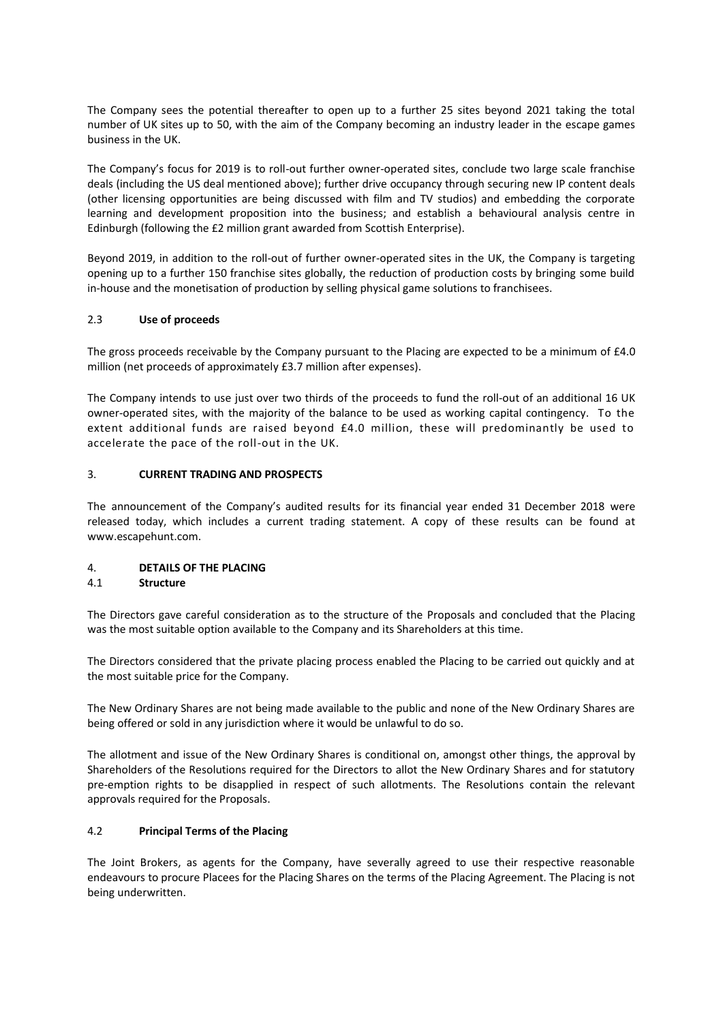The Company sees the potential thereafter to open up to a further 25 sites beyond 2021 taking the total number of UK sites up to 50, with the aim of the Company becoming an industry leader in the escape games business in the UK.

The Company's focus for 2019 is to roll-out further owner-operated sites, conclude two large scale franchise deals (including the US deal mentioned above); further drive occupancy through securing new IP content deals (other licensing opportunities are being discussed with film and TV studios) and embedding the corporate learning and development proposition into the business; and establish a behavioural analysis centre in Edinburgh (following the £2 million grant awarded from Scottish Enterprise).

Beyond 2019, in addition to the roll-out of further owner-operated sites in the UK, the Company is targeting opening up to a further 150 franchise sites globally, the reduction of production costs by bringing some build in-house and the monetisation of production by selling physical game solutions to franchisees.

# 2.3 **Use of proceeds**

The gross proceeds receivable by the Company pursuant to the Placing are expected to be a minimum of £4.0 million (net proceeds of approximately £3.7 million after expenses).

The Company intends to use just over two thirds of the proceeds to fund the roll-out of an additional 16 UK owner-operated sites, with the majority of the balance to be used as working capital contingency. To the extent additional funds are raised beyond £4.0 million, these will predominantly be used to accelerate the pace of the roll-out in the UK.

# 3. **CURRENT TRADING AND PROSPECTS**

The announcement of the Company's audited results for its financial year ended 31 December 2018 were released today, which includes a current trading statement. A copy of these results can be found at www.escapehunt.com.

# 4. **DETAILS OF THE PLACING**

# 4.1 **Structure**

The Directors gave careful consideration as to the structure of the Proposals and concluded that the Placing was the most suitable option available to the Company and its Shareholders at this time.

The Directors considered that the private placing process enabled the Placing to be carried out quickly and at the most suitable price for the Company.

The New Ordinary Shares are not being made available to the public and none of the New Ordinary Shares are being offered or sold in any jurisdiction where it would be unlawful to do so.

The allotment and issue of the New Ordinary Shares is conditional on, amongst other things, the approval by Shareholders of the Resolutions required for the Directors to allot the New Ordinary Shares and for statutory pre-emption rights to be disapplied in respect of such allotments. The Resolutions contain the relevant approvals required for the Proposals.

# 4.2 **Principal Terms of the Placing**

The Joint Brokers, as agents for the Company, have severally agreed to use their respective reasonable endeavours to procure Placees for the Placing Shares on the terms of the Placing Agreement. The Placing is not being underwritten.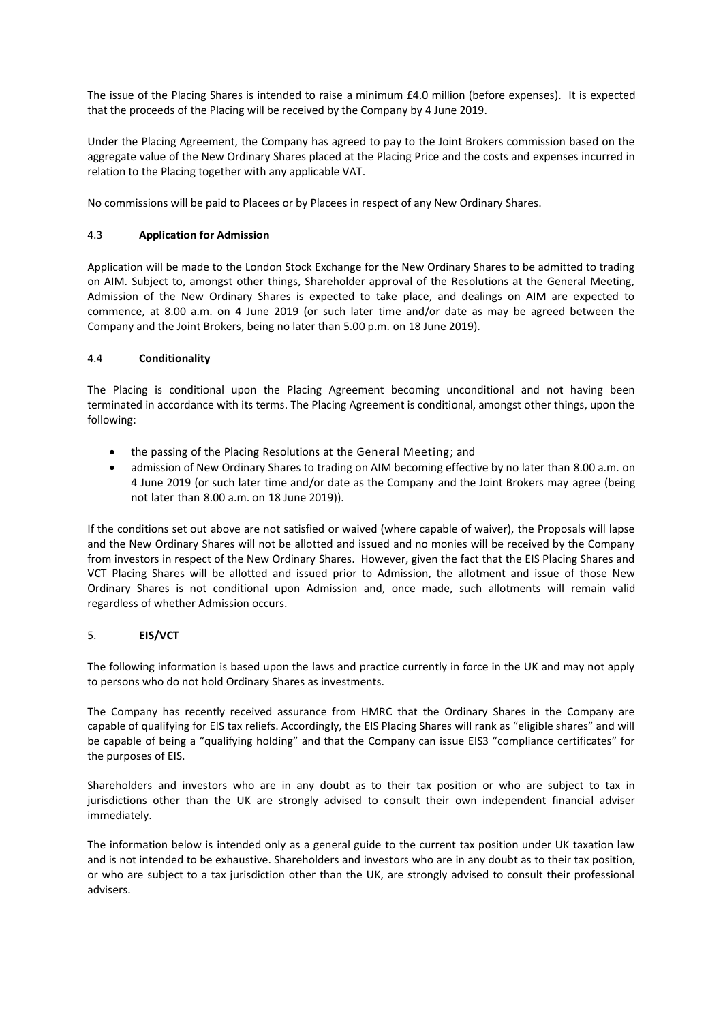The issue of the Placing Shares is intended to raise a minimum £4.0 million (before expenses). It is expected that the proceeds of the Placing will be received by the Company by 4 June 2019.

Under the Placing Agreement, the Company has agreed to pay to the Joint Brokers commission based on the aggregate value of the New Ordinary Shares placed at the Placing Price and the costs and expenses incurred in relation to the Placing together with any applicable VAT.

No commissions will be paid to Placees or by Placees in respect of any New Ordinary Shares.

# 4.3 **Application for Admission**

Application will be made to the London Stock Exchange for the New Ordinary Shares to be admitted to trading on AIM. Subject to, amongst other things, Shareholder approval of the Resolutions at the General Meeting, Admission of the New Ordinary Shares is expected to take place, and dealings on AIM are expected to commence, at 8.00 a.m. on 4 June 2019 (or such later time and/or date as may be agreed between the Company and the Joint Brokers, being no later than 5.00 p.m. on 18 June 2019).

# 4.4 **Conditionality**

The Placing is conditional upon the Placing Agreement becoming unconditional and not having been terminated in accordance with its terms. The Placing Agreement is conditional, amongst other things, upon the following:

- the passing of the Placing Resolutions at the General Meeting; and
- admission of New Ordinary Shares to trading on AIM becoming effective by no later than 8.00 a.m. on 4 June 2019 (or such later time and/or date as the Company and the Joint Brokers may agree (being not later than 8.00 a.m. on 18 June 2019)).

If the conditions set out above are not satisfied or waived (where capable of waiver), the Proposals will lapse and the New Ordinary Shares will not be allotted and issued and no monies will be received by the Company from investors in respect of the New Ordinary Shares. However, given the fact that the EIS Placing Shares and VCT Placing Shares will be allotted and issued prior to Admission, the allotment and issue of those New Ordinary Shares is not conditional upon Admission and, once made, such allotments will remain valid regardless of whether Admission occurs.

# 5. **EIS/VCT**

The following information is based upon the laws and practice currently in force in the UK and may not apply to persons who do not hold Ordinary Shares as investments.

The Company has recently received assurance from HMRC that the Ordinary Shares in the Company are capable of qualifying for EIS tax reliefs. Accordingly, the EIS Placing Shares will rank as "eligible shares" and will be capable of being a "qualifying holding" and that the Company can issue EIS3 "compliance certificates" for the purposes of EIS.

Shareholders and investors who are in any doubt as to their tax position or who are subject to tax in jurisdictions other than the UK are strongly advised to consult their own independent financial adviser immediately.

The information below is intended only as a general guide to the current tax position under UK taxation law and is not intended to be exhaustive. Shareholders and investors who are in any doubt as to their tax position, or who are subject to a tax jurisdiction other than the UK, are strongly advised to consult their professional advisers.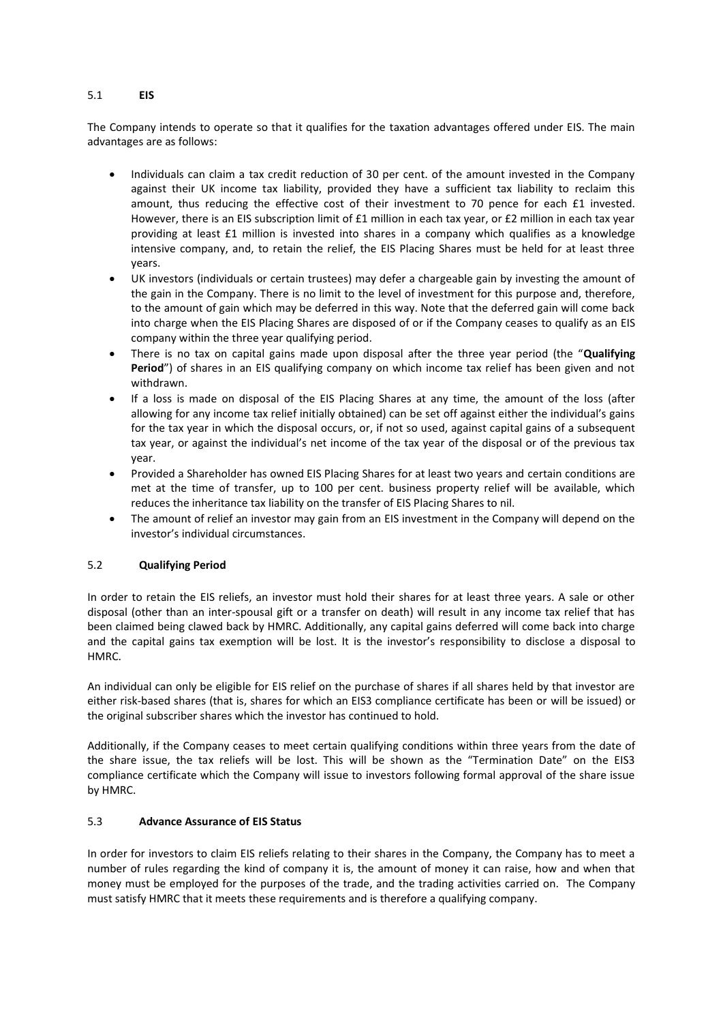# 5.1 **EIS**

The Company intends to operate so that it qualifies for the taxation advantages offered under EIS. The main advantages are as follows:

- Individuals can claim a tax credit reduction of 30 per cent. of the amount invested in the Company against their UK income tax liability, provided they have a sufficient tax liability to reclaim this amount, thus reducing the effective cost of their investment to 70 pence for each £1 invested. However, there is an EIS subscription limit of £1 million in each tax year, or £2 million in each tax year providing at least £1 million is invested into shares in a company which qualifies as a knowledge intensive company, and, to retain the relief, the EIS Placing Shares must be held for at least three years.
- UK investors (individuals or certain trustees) may defer a chargeable gain by investing the amount of the gain in the Company. There is no limit to the level of investment for this purpose and, therefore, to the amount of gain which may be deferred in this way. Note that the deferred gain will come back into charge when the EIS Placing Shares are disposed of or if the Company ceases to qualify as an EIS company within the three year qualifying period.
- There is no tax on capital gains made upon disposal after the three year period (the "**Qualifying Period**") of shares in an EIS qualifying company on which income tax relief has been given and not withdrawn.
- If a loss is made on disposal of the EIS Placing Shares at any time, the amount of the loss (after allowing for any income tax relief initially obtained) can be set off against either the individual's gains for the tax year in which the disposal occurs, or, if not so used, against capital gains of a subsequent tax year, or against the individual's net income of the tax year of the disposal or of the previous tax year.
- Provided a Shareholder has owned EIS Placing Shares for at least two years and certain conditions are met at the time of transfer, up to 100 per cent. business property relief will be available, which reduces the inheritance tax liability on the transfer of EIS Placing Shares to nil.
- The amount of relief an investor may gain from an EIS investment in the Company will depend on the investor's individual circumstances.

# 5.2 **Qualifying Period**

In order to retain the EIS reliefs, an investor must hold their shares for at least three years. A sale or other disposal (other than an inter-spousal gift or a transfer on death) will result in any income tax relief that has been claimed being clawed back by HMRC. Additionally, any capital gains deferred will come back into charge and the capital gains tax exemption will be lost. It is the investor's responsibility to disclose a disposal to HMRC.

An individual can only be eligible for EIS relief on the purchase of shares if all shares held by that investor are either risk-based shares (that is, shares for which an EIS3 compliance certificate has been or will be issued) or the original subscriber shares which the investor has continued to hold.

Additionally, if the Company ceases to meet certain qualifying conditions within three years from the date of the share issue, the tax reliefs will be lost. This will be shown as the "Termination Date" on the EIS3 compliance certificate which the Company will issue to investors following formal approval of the share issue by HMRC.

# 5.3 **Advance Assurance of EIS Status**

In order for investors to claim EIS reliefs relating to their shares in the Company, the Company has to meet a number of rules regarding the kind of company it is, the amount of money it can raise, how and when that money must be employed for the purposes of the trade, and the trading activities carried on. The Company must satisfy HMRC that it meets these requirements and is therefore a qualifying company.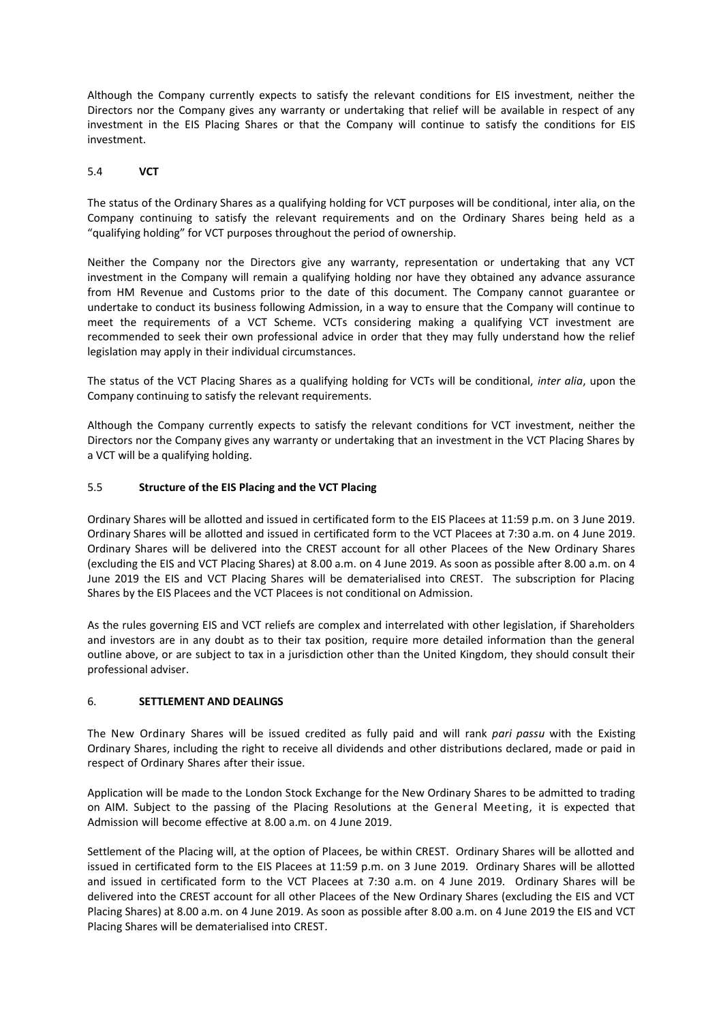Although the Company currently expects to satisfy the relevant conditions for EIS investment, neither the Directors nor the Company gives any warranty or undertaking that relief will be available in respect of any investment in the EIS Placing Shares or that the Company will continue to satisfy the conditions for EIS investment.

# 5.4 **VCT**

The status of the Ordinary Shares as a qualifying holding for VCT purposes will be conditional, inter alia, on the Company continuing to satisfy the relevant requirements and on the Ordinary Shares being held as a "qualifying holding" for VCT purposes throughout the period of ownership.

Neither the Company nor the Directors give any warranty, representation or undertaking that any VCT investment in the Company will remain a qualifying holding nor have they obtained any advance assurance from HM Revenue and Customs prior to the date of this document. The Company cannot guarantee or undertake to conduct its business following Admission, in a way to ensure that the Company will continue to meet the requirements of a VCT Scheme. VCTs considering making a qualifying VCT investment are recommended to seek their own professional advice in order that they may fully understand how the relief legislation may apply in their individual circumstances.

The status of the VCT Placing Shares as a qualifying holding for VCTs will be conditional, *inter alia*, upon the Company continuing to satisfy the relevant requirements.

Although the Company currently expects to satisfy the relevant conditions for VCT investment, neither the Directors nor the Company gives any warranty or undertaking that an investment in the VCT Placing Shares by a VCT will be a qualifying holding.

# 5.5 **Structure of the EIS Placing and the VCT Placing**

Ordinary Shares will be allotted and issued in certificated form to the EIS Placees at 11:59 p.m. on 3 June 2019. Ordinary Shares will be allotted and issued in certificated form to the VCT Placees at 7:30 a.m. on 4 June 2019. Ordinary Shares will be delivered into the CREST account for all other Placees of the New Ordinary Shares (excluding the EIS and VCT Placing Shares) at 8.00 a.m. on 4 June 2019. As soon as possible after 8.00 a.m. on 4 June 2019 the EIS and VCT Placing Shares will be dematerialised into CREST. The subscription for Placing Shares by the EIS Placees and the VCT Placees is not conditional on Admission.

As the rules governing EIS and VCT reliefs are complex and interrelated with other legislation, if Shareholders and investors are in any doubt as to their tax position, require more detailed information than the general outline above, or are subject to tax in a jurisdiction other than the United Kingdom, they should consult their professional adviser.

# 6. **SETTLEMENT AND DEALINGS**

The New Ordinary Shares will be issued credited as fully paid and will rank *pari passu* with the Existing Ordinary Shares, including the right to receive all dividends and other distributions declared, made or paid in respect of Ordinary Shares after their issue.

Application will be made to the London Stock Exchange for the New Ordinary Shares to be admitted to trading on AIM. Subject to the passing of the Placing Resolutions at the General Meeting, it is expected that Admission will become effective at 8.00 a.m. on 4 June 2019.

Settlement of the Placing will, at the option of Placees, be within CREST. Ordinary Shares will be allotted and issued in certificated form to the EIS Placees at 11:59 p.m. on 3 June 2019. Ordinary Shares will be allotted and issued in certificated form to the VCT Placees at 7:30 a.m. on 4 June 2019. Ordinary Shares will be delivered into the CREST account for all other Placees of the New Ordinary Shares (excluding the EIS and VCT Placing Shares) at 8.00 a.m. on 4 June 2019. As soon as possible after 8.00 a.m. on 4 June 2019 the EIS and VCT Placing Shares will be dematerialised into CREST.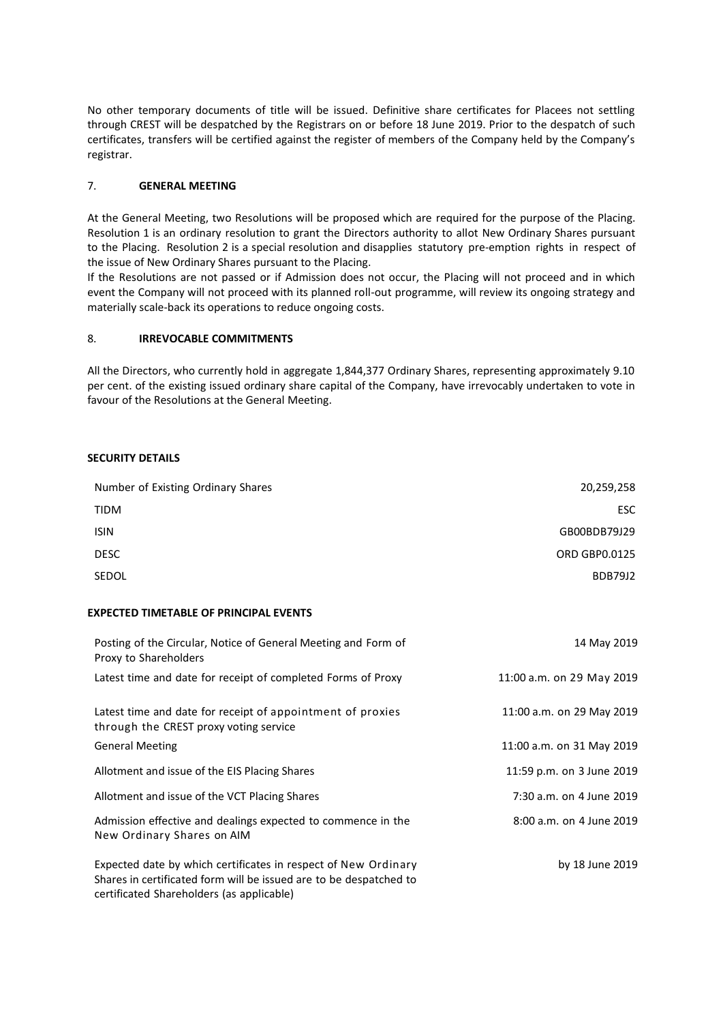No other temporary documents of title will be issued. Definitive share certificates for Placees not settling through CREST will be despatched by the Registrars on or before 18 June 2019. Prior to the despatch of such certificates, transfers will be certified against the register of members of the Company held by the Company's registrar.

# 7. **GENERAL MEETING**

At the General Meeting, two Resolutions will be proposed which are required for the purpose of the Placing. Resolution 1 is an ordinary resolution to grant the Directors authority to allot New Ordinary Shares pursuant to the Placing. Resolution 2 is a special resolution and disapplies statutory pre-emption rights in respect of the issue of New Ordinary Shares pursuant to the Placing.

If the Resolutions are not passed or if Admission does not occur, the Placing will not proceed and in which event the Company will not proceed with its planned roll-out programme, will review its ongoing strategy and materially scale-back its operations to reduce ongoing costs.

# 8. **IRREVOCABLE COMMITMENTS**

All the Directors, who currently hold in aggregate 1,844,377 Ordinary Shares, representing approximately 9.10 per cent. of the existing issued ordinary share capital of the Company, have irrevocably undertaken to vote in favour of the Resolutions at the General Meeting.

# **SECURITY DETAILS**

| Number of Existing Ordinary Shares | 20,259,258           |
|------------------------------------|----------------------|
| <b>TIDM</b>                        | <b>ESC</b>           |
| <b>ISIN</b>                        | GB00BDB79J29         |
| <b>DESC</b>                        | <b>ORD GBP0.0125</b> |
| <b>SEDOL</b>                       | <b>BDB79J2</b>       |

# **EXPECTED TIMETABLE OF PRINCIPAL EVENTS**

| Posting of the Circular, Notice of General Meeting and Form of<br>Proxy to Shareholders                                                                                           | 14 May 2019               |
|-----------------------------------------------------------------------------------------------------------------------------------------------------------------------------------|---------------------------|
| Latest time and date for receipt of completed Forms of Proxy                                                                                                                      | 11:00 a.m. on 29 May 2019 |
| Latest time and date for receipt of appointment of proxies<br>through the CREST proxy voting service                                                                              | 11:00 a.m. on 29 May 2019 |
| <b>General Meeting</b>                                                                                                                                                            | 11:00 a.m. on 31 May 2019 |
| Allotment and issue of the EIS Placing Shares                                                                                                                                     | 11:59 p.m. on 3 June 2019 |
| Allotment and issue of the VCT Placing Shares                                                                                                                                     | 7:30 a.m. on 4 June 2019  |
| Admission effective and dealings expected to commence in the<br>New Ordinary Shares on AIM                                                                                        | 8:00 a.m. on 4 June 2019  |
| Expected date by which certificates in respect of New Ordinary<br>Shares in certificated form will be issued are to be despatched to<br>certificated Shareholders (as applicable) | by 18 June 2019           |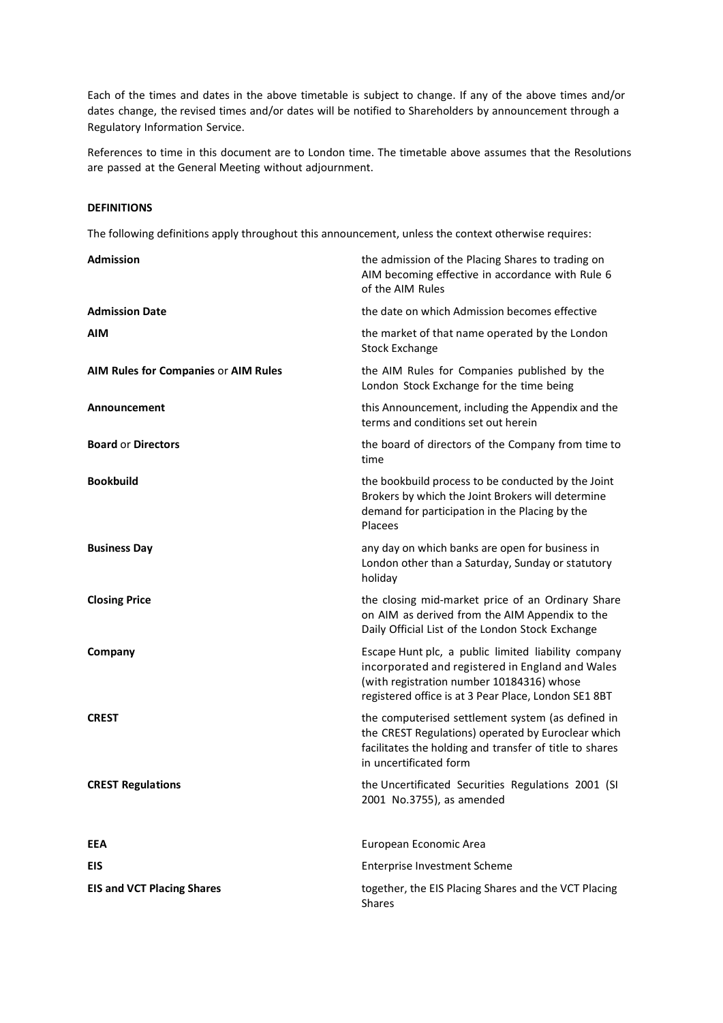Each of the times and dates in the above timetable is subject to change. If any of the above times and/or dates change, the revised times and/or dates will be notified to Shareholders by announcement through a Regulatory Information Service.

References to time in this document are to London time. The timetable above assumes that the Resolutions are passed at the General Meeting without adjournment.

# **DEFINITIONS**

The following definitions apply throughout this announcement, unless the context otherwise requires:

| <b>Admission</b>                     | the admission of the Placing Shares to trading on<br>AIM becoming effective in accordance with Rule 6<br>of the AIM Rules                                                                                    |
|--------------------------------------|--------------------------------------------------------------------------------------------------------------------------------------------------------------------------------------------------------------|
| <b>Admission Date</b>                | the date on which Admission becomes effective                                                                                                                                                                |
| <b>AIM</b>                           | the market of that name operated by the London<br><b>Stock Exchange</b>                                                                                                                                      |
| AIM Rules for Companies or AIM Rules | the AIM Rules for Companies published by the<br>London Stock Exchange for the time being                                                                                                                     |
| Announcement                         | this Announcement, including the Appendix and the<br>terms and conditions set out herein                                                                                                                     |
| <b>Board or Directors</b>            | the board of directors of the Company from time to<br>time                                                                                                                                                   |
| <b>Bookbuild</b>                     | the bookbuild process to be conducted by the Joint<br>Brokers by which the Joint Brokers will determine<br>demand for participation in the Placing by the<br>Placees                                         |
| <b>Business Day</b>                  | any day on which banks are open for business in<br>London other than a Saturday, Sunday or statutory<br>holiday                                                                                              |
| <b>Closing Price</b>                 | the closing mid-market price of an Ordinary Share<br>on AIM as derived from the AIM Appendix to the<br>Daily Official List of the London Stock Exchange                                                      |
| Company                              | Escape Hunt plc, a public limited liability company<br>incorporated and registered in England and Wales<br>(with registration number 10184316) whose<br>registered office is at 3 Pear Place, London SE1 8BT |
| <b>CREST</b>                         | the computerised settlement system (as defined in<br>the CREST Regulations) operated by Euroclear which<br>facilitates the holding and transfer of title to shares<br>in uncertificated form                 |
| <b>CREST Regulations</b>             | the Uncertificated Securities Regulations 2001 (SI<br>2001 No.3755), as amended                                                                                                                              |
| <b>EEA</b>                           | European Economic Area                                                                                                                                                                                       |
| EIS                                  | <b>Enterprise Investment Scheme</b>                                                                                                                                                                          |
| <b>EIS and VCT Placing Shares</b>    | together, the EIS Placing Shares and the VCT Placing<br>Shares                                                                                                                                               |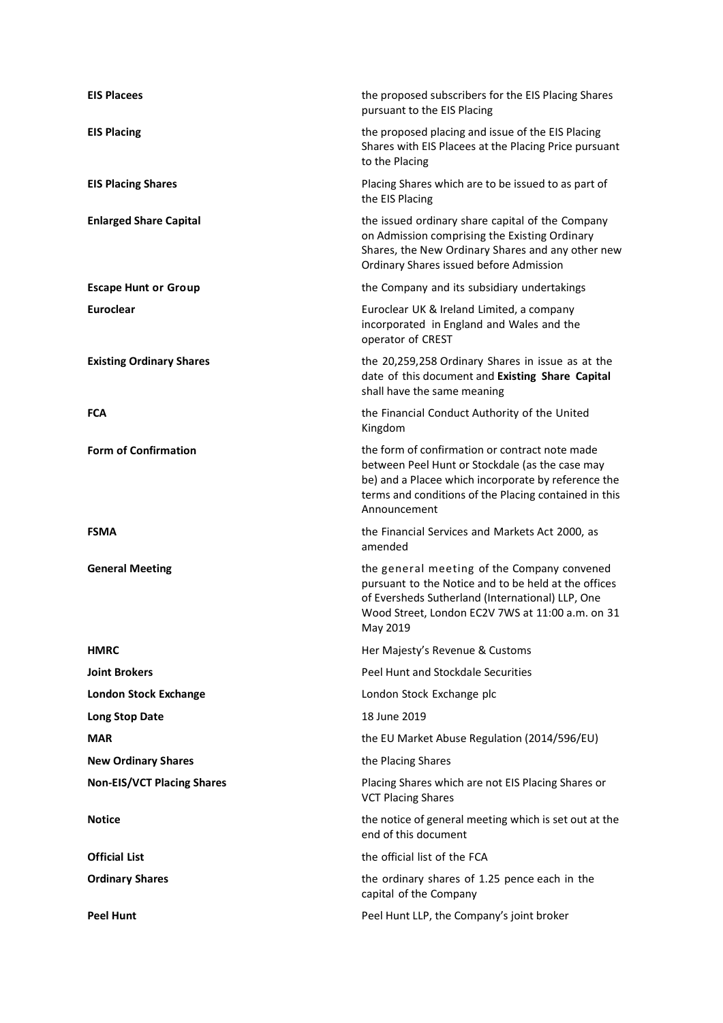| <b>EIS Placees</b>                | the proposed subscribers for the EIS Placing Shares<br>pursuant to the EIS Placing                                                                                                                                                |
|-----------------------------------|-----------------------------------------------------------------------------------------------------------------------------------------------------------------------------------------------------------------------------------|
| <b>EIS Placing</b>                | the proposed placing and issue of the EIS Placing<br>Shares with EIS Placees at the Placing Price pursuant<br>to the Placing                                                                                                      |
| <b>EIS Placing Shares</b>         | Placing Shares which are to be issued to as part of<br>the EIS Placing                                                                                                                                                            |
| <b>Enlarged Share Capital</b>     | the issued ordinary share capital of the Company<br>on Admission comprising the Existing Ordinary<br>Shares, the New Ordinary Shares and any other new<br>Ordinary Shares issued before Admission                                 |
| <b>Escape Hunt or Group</b>       | the Company and its subsidiary undertakings                                                                                                                                                                                       |
| <b>Euroclear</b>                  | Euroclear UK & Ireland Limited, a company<br>incorporated in England and Wales and the<br>operator of CREST                                                                                                                       |
| <b>Existing Ordinary Shares</b>   | the 20,259,258 Ordinary Shares in issue as at the<br>date of this document and Existing Share Capital<br>shall have the same meaning                                                                                              |
| <b>FCA</b>                        | the Financial Conduct Authority of the United<br>Kingdom                                                                                                                                                                          |
| <b>Form of Confirmation</b>       | the form of confirmation or contract note made<br>between Peel Hunt or Stockdale (as the case may<br>be) and a Placee which incorporate by reference the<br>terms and conditions of the Placing contained in this<br>Announcement |
| <b>FSMA</b>                       | the Financial Services and Markets Act 2000, as<br>amended                                                                                                                                                                        |
| <b>General Meeting</b>            | the general meeting of the Company convened<br>pursuant to the Notice and to be held at the offices<br>of Eversheds Sutherland (International) LLP, One<br>Wood Street, London EC2V 7WS at 11:00 a.m. on 31<br>May 2019           |
| <b>HMRC</b>                       | Her Majesty's Revenue & Customs                                                                                                                                                                                                   |
| <b>Joint Brokers</b>              | Peel Hunt and Stockdale Securities                                                                                                                                                                                                |
| <b>London Stock Exchange</b>      | London Stock Exchange plc                                                                                                                                                                                                         |
| <b>Long Stop Date</b>             | 18 June 2019                                                                                                                                                                                                                      |
| <b>MAR</b>                        | the EU Market Abuse Regulation (2014/596/EU)                                                                                                                                                                                      |
| <b>New Ordinary Shares</b>        | the Placing Shares                                                                                                                                                                                                                |
| <b>Non-EIS/VCT Placing Shares</b> | Placing Shares which are not EIS Placing Shares or<br><b>VCT Placing Shares</b>                                                                                                                                                   |
| <b>Notice</b>                     | the notice of general meeting which is set out at the<br>end of this document                                                                                                                                                     |
| <b>Official List</b>              | the official list of the FCA                                                                                                                                                                                                      |
| <b>Ordinary Shares</b>            | the ordinary shares of 1.25 pence each in the<br>capital of the Company                                                                                                                                                           |
| <b>Peel Hunt</b>                  | Peel Hunt LLP, the Company's joint broker                                                                                                                                                                                         |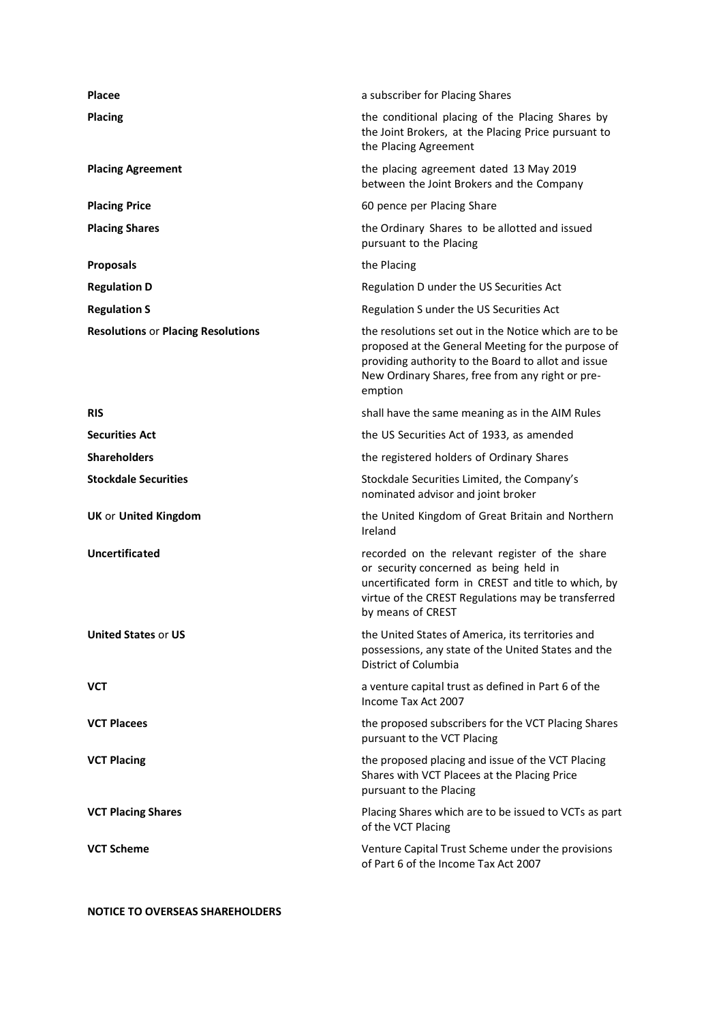| <b>Placee</b>                             | a subscriber for Placing Shares                                                                                                                                                                                                   |
|-------------------------------------------|-----------------------------------------------------------------------------------------------------------------------------------------------------------------------------------------------------------------------------------|
| <b>Placing</b>                            | the conditional placing of the Placing Shares by<br>the Joint Brokers, at the Placing Price pursuant to<br>the Placing Agreement                                                                                                  |
| <b>Placing Agreement</b>                  | the placing agreement dated 13 May 2019<br>between the Joint Brokers and the Company                                                                                                                                              |
| <b>Placing Price</b>                      | 60 pence per Placing Share                                                                                                                                                                                                        |
| <b>Placing Shares</b>                     | the Ordinary Shares to be allotted and issued<br>pursuant to the Placing                                                                                                                                                          |
| Proposals                                 | the Placing                                                                                                                                                                                                                       |
| <b>Regulation D</b>                       | Regulation D under the US Securities Act                                                                                                                                                                                          |
| <b>Regulation S</b>                       | Regulation S under the US Securities Act                                                                                                                                                                                          |
| <b>Resolutions or Placing Resolutions</b> | the resolutions set out in the Notice which are to be<br>proposed at the General Meeting for the purpose of<br>providing authority to the Board to allot and issue<br>New Ordinary Shares, free from any right or pre-<br>emption |
| <b>RIS</b>                                | shall have the same meaning as in the AIM Rules                                                                                                                                                                                   |
| <b>Securities Act</b>                     | the US Securities Act of 1933, as amended                                                                                                                                                                                         |
| <b>Shareholders</b>                       | the registered holders of Ordinary Shares                                                                                                                                                                                         |
| <b>Stockdale Securities</b>               | Stockdale Securities Limited, the Company's<br>nominated advisor and joint broker                                                                                                                                                 |
| <b>UK or United Kingdom</b>               | the United Kingdom of Great Britain and Northern<br>Ireland                                                                                                                                                                       |
| <b>Uncertificated</b>                     | recorded on the relevant register of the share<br>or security concerned as being held in<br>uncertificated form in CREST and title to which, by<br>virtue of the CREST Regulations may be transferred<br>by means of CREST        |
| <b>United States or US</b>                | the United States of America, its territories and<br>possessions, any state of the United States and the<br>District of Columbia                                                                                                  |
| <b>VCT</b>                                | a venture capital trust as defined in Part 6 of the<br>Income Tax Act 2007                                                                                                                                                        |
| <b>VCT Placees</b>                        | the proposed subscribers for the VCT Placing Shares<br>pursuant to the VCT Placing                                                                                                                                                |
| <b>VCT Placing</b>                        | the proposed placing and issue of the VCT Placing<br>Shares with VCT Placees at the Placing Price<br>pursuant to the Placing                                                                                                      |
| <b>VCT Placing Shares</b>                 | Placing Shares which are to be issued to VCTs as part<br>of the VCT Placing                                                                                                                                                       |
| <b>VCT Scheme</b>                         | Venture Capital Trust Scheme under the provisions<br>of Part 6 of the Income Tax Act 2007                                                                                                                                         |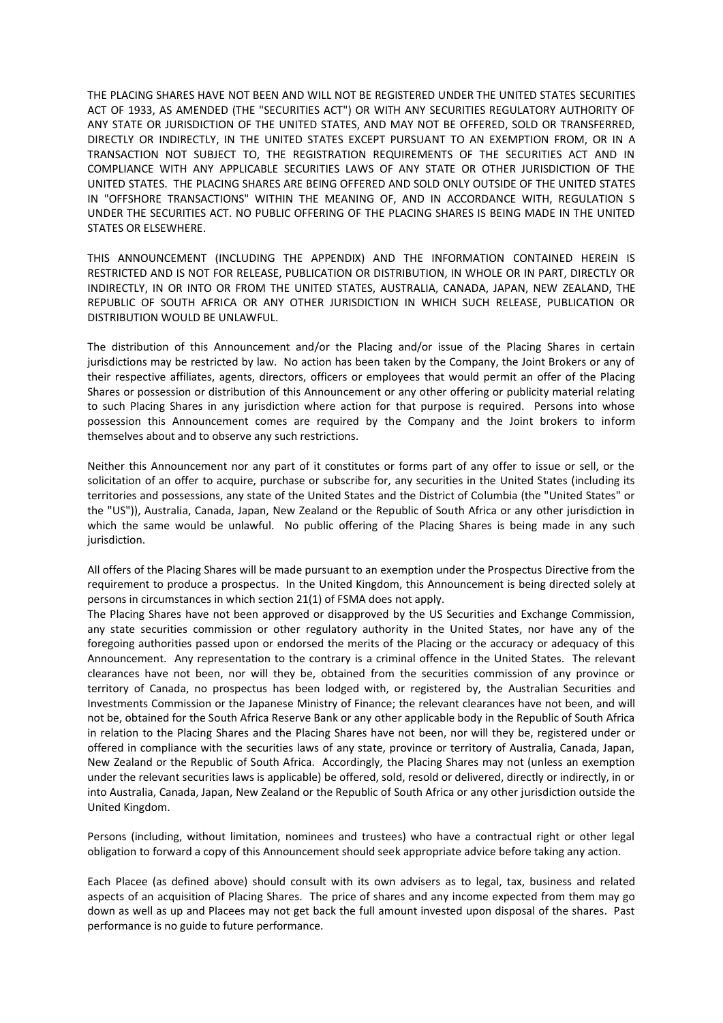THE PLACING SHARES HAVE NOT BEEN AND WILL NOT BE REGISTERED UNDER THE UNITED STATES SECURITIES ACT OF 1933, AS AMENDED (THE "SECURITIES ACT") OR WITH ANY SECURITIES REGULATORY AUTHORITY OF ANY STATE OR JURISDICTION OF THE UNITED STATES, AND MAY NOT BE OFFERED, SOLD OR TRANSFERRED, DIRECTLY OR INDIRECTLY, IN THE UNITED STATES EXCEPT PURSUANT TO AN EXEMPTION FROM, OR IN A TRANSACTION NOT SUBJECT TO, THE REGISTRATION REQUIREMENTS OF THE SECURITIES ACT AND IN COMPLIANCE WITH ANY APPLICABLE SECURITIES LAWS OF ANY STATE OR OTHER JURISDICTION OF THE UNITED STATES. THE PLACING SHARES ARE BEING OFFERED AND SOLD ONLY OUTSIDE OF THE UNITED STATES IN "OFFSHORE TRANSACTIONS" WITHIN THE MEANING OF, AND IN ACCORDANCE WITH, REGULATION S UNDER THE SECURITIES ACT. NO PUBLIC OFFERING OF THE PLACING SHARES IS BEING MADE IN THE UNITED STATES OR ELSEWHERE.

THIS ANNOUNCEMENT (INCLUDING THE APPENDIX) AND THE INFORMATION CONTAINED HEREIN IS RESTRICTED AND IS NOT FOR RELEASE, PUBLICATION OR DISTRIBUTION, IN WHOLE OR IN PART, DIRECTLY OR INDIRECTLY, IN OR INTO OR FROM THE UNITED STATES, AUSTRALIA, CANADA, JAPAN, NEW ZEALAND, THE REPUBLIC OF SOUTH AFRICA OR ANY OTHER JURISDICTION IN WHICH SUCH RELEASE, PUBLICATION OR DISTRIBUTION WOULD BE UNLAWFUL.

The distribution of this Announcement and/or the Placing and/or issue of the Placing Shares in certain jurisdictions may be restricted by law. No action has been taken by the Company, the Joint Brokers or any of their respective affiliates, agents, directors, officers or employees that would permit an offer of the Placing Shares or possession or distribution of this Announcement or any other offering or publicity material relating to such Placing Shares in any jurisdiction where action for that purpose is required. Persons into whose possession this Announcement comes are required by the Company and the Joint brokers to inform themselves about and to observe any such restrictions.

Neither this Announcement nor any part of it constitutes or forms part of any offer to issue or sell, or the solicitation of an offer to acquire, purchase or subscribe for, any securities in the United States (including its territories and possessions, any state of the United States and the District of Columbia (the "United States" or the "US")), Australia, Canada, Japan, New Zealand or the Republic of South Africa or any other jurisdiction in which the same would be unlawful. No public offering of the Placing Shares is being made in any such jurisdiction.

All offers of the Placing Shares will be made pursuant to an exemption under the Prospectus Directive from the requirement to produce a prospectus. In the United Kingdom, this Announcement is being directed solely at persons in circumstances in which section 21(1) of FSMA does not apply.

The Placing Shares have not been approved or disapproved by the US Securities and Exchange Commission, any state securities commission or other regulatory authority in the United States, nor have any of the foregoing authorities passed upon or endorsed the merits of the Placing or the accuracy or adequacy of this Announcement. Any representation to the contrary is a criminal offence in the United States. The relevant clearances have not been, nor will they be, obtained from the securities commission of any province or territory of Canada, no prospectus has been lodged with, or registered by, the Australian Securities and Investments Commission or the Japanese Ministry of Finance; the relevant clearances have not been, and will not be, obtained for the South Africa Reserve Bank or any other applicable body in the Republic of South Africa in relation to the Placing Shares and the Placing Shares have not been, nor will they be, registered under or offered in compliance with the securities laws of any state, province or territory of Australia, Canada, Japan, New Zealand or the Republic of South Africa. Accordingly, the Placing Shares may not (unless an exemption under the relevant securities laws is applicable) be offered, sold, resold or delivered, directly or indirectly, in or into Australia, Canada, Japan, New Zealand or the Republic of South Africa or any other jurisdiction outside the United Kingdom.

Persons (including, without limitation, nominees and trustees) who have a contractual right or other legal obligation to forward a copy of this Announcement should seek appropriate advice before taking any action.

Each Placee (as defined above) should consult with its own advisers as to legal, tax, business and related aspects of an acquisition of Placing Shares. The price of shares and any income expected from them may go down as well as up and Placees may not get back the full amount invested upon disposal of the shares. Past performance is no guide to future performance.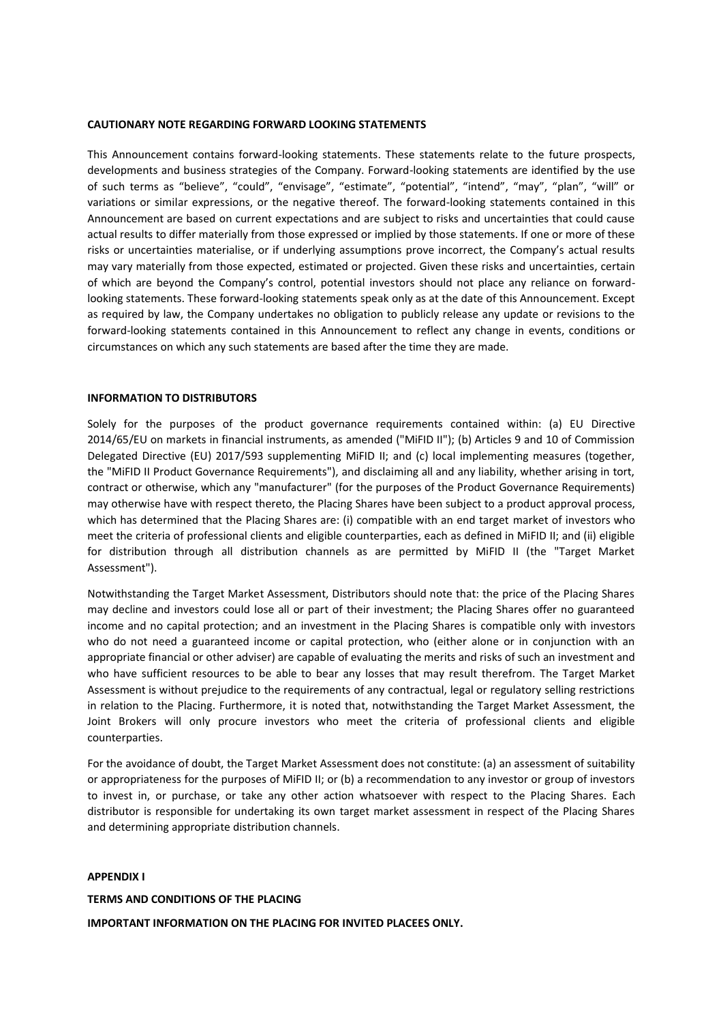#### **CAUTIONARY NOTE REGARDING FORWARD LOOKING STATEMENTS**

This Announcement contains forward-looking statements. These statements relate to the future prospects, developments and business strategies of the Company. Forward-looking statements are identified by the use of such terms as "believe", "could", "envisage", "estimate", "potential", "intend", "may", "plan", "will" or variations or similar expressions, or the negative thereof. The forward-looking statements contained in this Announcement are based on current expectations and are subject to risks and uncertainties that could cause actual results to differ materially from those expressed or implied by those statements. If one or more of these risks or uncertainties materialise, or if underlying assumptions prove incorrect, the Company's actual results may vary materially from those expected, estimated or projected. Given these risks and uncertainties, certain of which are beyond the Company's control, potential investors should not place any reliance on forwardlooking statements. These forward-looking statements speak only as at the date of this Announcement. Except as required by law, the Company undertakes no obligation to publicly release any update or revisions to the forward-looking statements contained in this Announcement to reflect any change in events, conditions or circumstances on which any such statements are based after the time they are made.

#### **INFORMATION TO DISTRIBUTORS**

Solely for the purposes of the product governance requirements contained within: (a) EU Directive 2014/65/EU on markets in financial instruments, as amended ("MiFID II"); (b) Articles 9 and 10 of Commission Delegated Directive (EU) 2017/593 supplementing MiFID II; and (c) local implementing measures (together, the "MiFID II Product Governance Requirements"), and disclaiming all and any liability, whether arising in tort, contract or otherwise, which any "manufacturer" (for the purposes of the Product Governance Requirements) may otherwise have with respect thereto, the Placing Shares have been subject to a product approval process, which has determined that the Placing Shares are: (i) compatible with an end target market of investors who meet the criteria of professional clients and eligible counterparties, each as defined in MiFID II; and (ii) eligible for distribution through all distribution channels as are permitted by MiFID II (the "Target Market Assessment").

Notwithstanding the Target Market Assessment, Distributors should note that: the price of the Placing Shares may decline and investors could lose all or part of their investment; the Placing Shares offer no guaranteed income and no capital protection; and an investment in the Placing Shares is compatible only with investors who do not need a guaranteed income or capital protection, who (either alone or in conjunction with an appropriate financial or other adviser) are capable of evaluating the merits and risks of such an investment and who have sufficient resources to be able to bear any losses that may result therefrom. The Target Market Assessment is without prejudice to the requirements of any contractual, legal or regulatory selling restrictions in relation to the Placing. Furthermore, it is noted that, notwithstanding the Target Market Assessment, the Joint Brokers will only procure investors who meet the criteria of professional clients and eligible counterparties.

For the avoidance of doubt, the Target Market Assessment does not constitute: (a) an assessment of suitability or appropriateness for the purposes of MiFID II; or (b) a recommendation to any investor or group of investors to invest in, or purchase, or take any other action whatsoever with respect to the Placing Shares. Each distributor is responsible for undertaking its own target market assessment in respect of the Placing Shares and determining appropriate distribution channels.

#### **APPENDIX I**

#### **TERMS AND CONDITIONS OF THE PLACING**

**IMPORTANT INFORMATION ON THE PLACING FOR INVITED PLACEES ONLY.**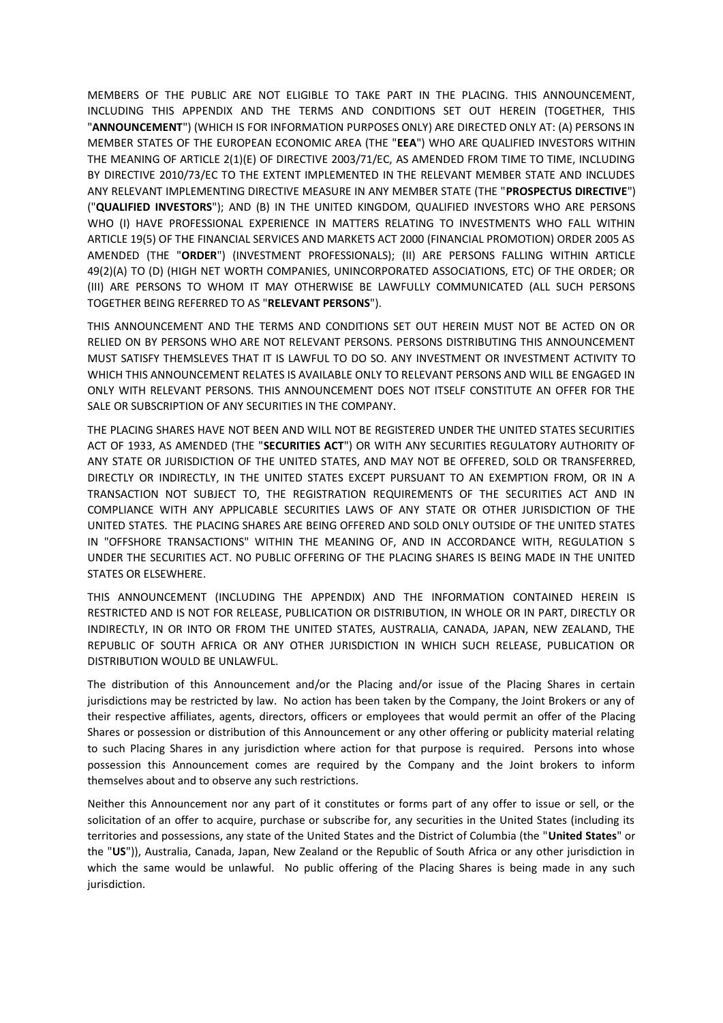MEMBERS OF THE PUBLIC ARE NOT ELIGIBLE TO TAKE PART IN THE PLACING. THIS ANNOUNCEMENT, INCLUDING THIS APPENDIX AND THE TERMS AND CONDITIONS SET OUT HEREIN (TOGETHER, THIS "**ANNOUNCEMENT**") (WHICH IS FOR INFORMATION PURPOSES ONLY) ARE DIRECTED ONLY AT: (A) PERSONS IN MEMBER STATES OF THE EUROPEAN ECONOMIC AREA (THE "**EEA**") WHO ARE QUALIFIED INVESTORS WITHIN THE MEANING OF ARTICLE 2(1)(E) OF DIRECTIVE 2003/71/EC, AS AMENDED FROM TIME TO TIME, INCLUDING BY DIRECTIVE 2010/73/EC TO THE EXTENT IMPLEMENTED IN THE RELEVANT MEMBER STATE AND INCLUDES ANY RELEVANT IMPLEMENTING DIRECTIVE MEASURE IN ANY MEMBER STATE (THE "**PROSPECTUS DIRECTIVE**") ("**QUALIFIED INVESTORS**"); AND (B) IN THE UNITED KINGDOM, QUALIFIED INVESTORS WHO ARE PERSONS WHO (I) HAVE PROFESSIONAL EXPERIENCE IN MATTERS RELATING TO INVESTMENTS WHO FALL WITHIN ARTICLE 19(5) OF THE FINANCIAL SERVICES AND MARKETS ACT 2000 (FINANCIAL PROMOTION) ORDER 2005 AS AMENDED (THE "**ORDER**") (INVESTMENT PROFESSIONALS); (II) ARE PERSONS FALLING WITHIN ARTICLE 49(2)(A) TO (D) (HIGH NET WORTH COMPANIES, UNINCORPORATED ASSOCIATIONS, ETC) OF THE ORDER; OR (III) ARE PERSONS TO WHOM IT MAY OTHERWISE BE LAWFULLY COMMUNICATED (ALL SUCH PERSONS TOGETHER BEING REFERRED TO AS "**RELEVANT PERSONS**").

THIS ANNOUNCEMENT AND THE TERMS AND CONDITIONS SET OUT HEREIN MUST NOT BE ACTED ON OR RELIED ON BY PERSONS WHO ARE NOT RELEVANT PERSONS. PERSONS DISTRIBUTING THIS ANNOUNCEMENT MUST SATISFY THEMSLEVES THAT IT IS LAWFUL TO DO SO. ANY INVESTMENT OR INVESTMENT ACTIVITY TO WHICH THIS ANNOUNCEMENT RELATES IS AVAILABLE ONLY TO RELEVANT PERSONS AND WILL BE ENGAGED IN ONLY WITH RELEVANT PERSONS. THIS ANNOUNCEMENT DOES NOT ITSELF CONSTITUTE AN OFFER FOR THE SALE OR SUBSCRIPTION OF ANY SECURITIES IN THE COMPANY.

THE PLACING SHARES HAVE NOT BEEN AND WILL NOT BE REGISTERED UNDER THE UNITED STATES SECURITIES ACT OF 1933, AS AMENDED (THE "**SECURITIES ACT**") OR WITH ANY SECURITIES REGULATORY AUTHORITY OF ANY STATE OR JURISDICTION OF THE UNITED STATES, AND MAY NOT BE OFFERED, SOLD OR TRANSFERRED, DIRECTLY OR INDIRECTLY, IN THE UNITED STATES EXCEPT PURSUANT TO AN EXEMPTION FROM, OR IN A TRANSACTION NOT SUBJECT TO, THE REGISTRATION REQUIREMENTS OF THE SECURITIES ACT AND IN COMPLIANCE WITH ANY APPLICABLE SECURITIES LAWS OF ANY STATE OR OTHER JURISDICTION OF THE UNITED STATES. THE PLACING SHARES ARE BEING OFFERED AND SOLD ONLY OUTSIDE OF THE UNITED STATES IN "OFFSHORE TRANSACTIONS" WITHIN THE MEANING OF, AND IN ACCORDANCE WITH, REGULATION S UNDER THE SECURITIES ACT. NO PUBLIC OFFERING OF THE PLACING SHARES IS BEING MADE IN THE UNITED STATES OR ELSEWHERE.

THIS ANNOUNCEMENT (INCLUDING THE APPENDIX) AND THE INFORMATION CONTAINED HEREIN IS RESTRICTED AND IS NOT FOR RELEASE, PUBLICATION OR DISTRIBUTION, IN WHOLE OR IN PART, DIRECTLY OR INDIRECTLY, IN OR INTO OR FROM THE UNITED STATES, AUSTRALIA, CANADA, JAPAN, NEW ZEALAND, THE REPUBLIC OF SOUTH AFRICA OR ANY OTHER JURISDICTION IN WHICH SUCH RELEASE, PUBLICATION OR DISTRIBUTION WOULD BE UNLAWFUL.

The distribution of this Announcement and/or the Placing and/or issue of the Placing Shares in certain jurisdictions may be restricted by law. No action has been taken by the Company, the Joint Brokers or any of their respective affiliates, agents, directors, officers or employees that would permit an offer of the Placing Shares or possession or distribution of this Announcement or any other offering or publicity material relating to such Placing Shares in any jurisdiction where action for that purpose is required. Persons into whose possession this Announcement comes are required by the Company and the Joint brokers to inform themselves about and to observe any such restrictions.

Neither this Announcement nor any part of it constitutes or forms part of any offer to issue or sell, or the solicitation of an offer to acquire, purchase or subscribe for, any securities in the United States (including its territories and possessions, any state of the United States and the District of Columbia (the "**United States**" or the "**US**")), Australia, Canada, Japan, New Zealand or the Republic of South Africa or any other jurisdiction in which the same would be unlawful. No public offering of the Placing Shares is being made in any such jurisdiction.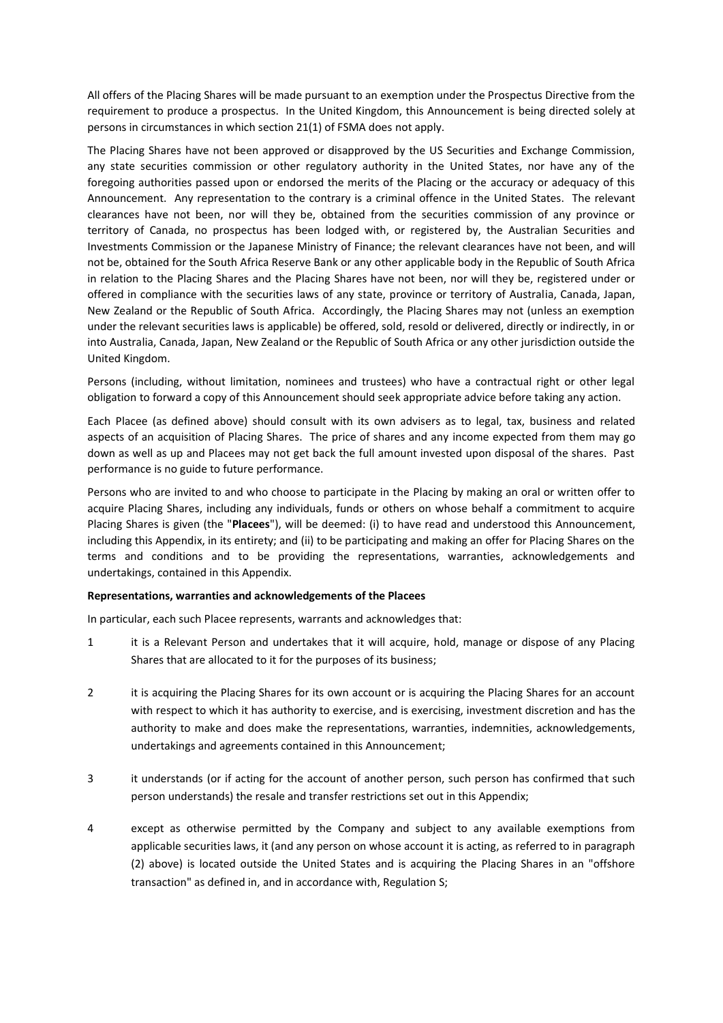All offers of the Placing Shares will be made pursuant to an exemption under the Prospectus Directive from the requirement to produce a prospectus. In the United Kingdom, this Announcement is being directed solely at persons in circumstances in which section 21(1) of FSMA does not apply.

The Placing Shares have not been approved or disapproved by the US Securities and Exchange Commission, any state securities commission or other regulatory authority in the United States, nor have any of the foregoing authorities passed upon or endorsed the merits of the Placing or the accuracy or adequacy of this Announcement. Any representation to the contrary is a criminal offence in the United States. The relevant clearances have not been, nor will they be, obtained from the securities commission of any province or territory of Canada, no prospectus has been lodged with, or registered by, the Australian Securities and Investments Commission or the Japanese Ministry of Finance; the relevant clearances have not been, and will not be, obtained for the South Africa Reserve Bank or any other applicable body in the Republic of South Africa in relation to the Placing Shares and the Placing Shares have not been, nor will they be, registered under or offered in compliance with the securities laws of any state, province or territory of Australia, Canada, Japan, New Zealand or the Republic of South Africa. Accordingly, the Placing Shares may not (unless an exemption under the relevant securities laws is applicable) be offered, sold, resold or delivered, directly or indirectly, in or into Australia, Canada, Japan, New Zealand or the Republic of South Africa or any other jurisdiction outside the United Kingdom.

Persons (including, without limitation, nominees and trustees) who have a contractual right or other legal obligation to forward a copy of this Announcement should seek appropriate advice before taking any action.

Each Placee (as defined above) should consult with its own advisers as to legal, tax, business and related aspects of an acquisition of Placing Shares. The price of shares and any income expected from them may go down as well as up and Placees may not get back the full amount invested upon disposal of the shares. Past performance is no guide to future performance.

Persons who are invited to and who choose to participate in the Placing by making an oral or written offer to acquire Placing Shares, including any individuals, funds or others on whose behalf a commitment to acquire Placing Shares is given (the "**Placees**"), will be deemed: (i) to have read and understood this Announcement, including this Appendix, in its entirety; and (ii) to be participating and making an offer for Placing Shares on the terms and conditions and to be providing the representations, warranties, acknowledgements and undertakings, contained in this Appendix.

### **Representations, warranties and acknowledgements of the Placees**

In particular, each such Placee represents, warrants and acknowledges that:

- 1 it is a Relevant Person and undertakes that it will acquire, hold, manage or dispose of any Placing Shares that are allocated to it for the purposes of its business;
- 2 it is acquiring the Placing Shares for its own account or is acquiring the Placing Shares for an account with respect to which it has authority to exercise, and is exercising, investment discretion and has the authority to make and does make the representations, warranties, indemnities, acknowledgements, undertakings and agreements contained in this Announcement;
- 3 it understands (or if acting for the account of another person, such person has confirmed that such person understands) the resale and transfer restrictions set out in this Appendix;
- 4 except as otherwise permitted by the Company and subject to any available exemptions from applicable securities laws, it (and any person on whose account it is acting, as referred to in paragraph (2) above) is located outside the United States and is acquiring the Placing Shares in an "offshore transaction" as defined in, and in accordance with, Regulation S;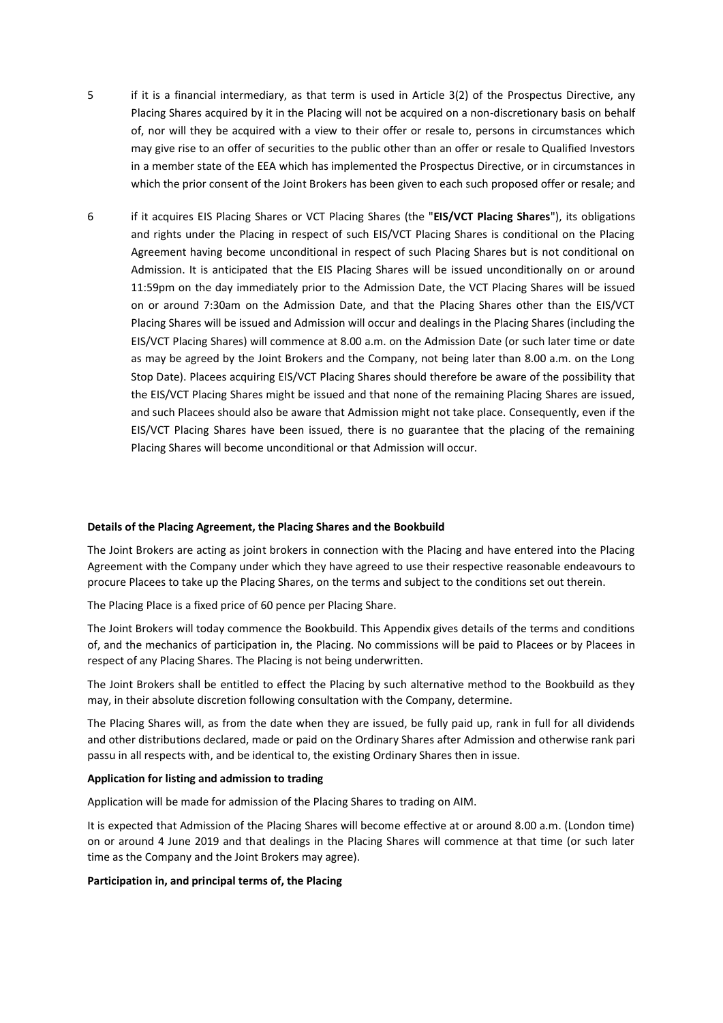- 5 if it is a financial intermediary, as that term is used in Article 3(2) of the Prospectus Directive, any Placing Shares acquired by it in the Placing will not be acquired on a non-discretionary basis on behalf of, nor will they be acquired with a view to their offer or resale to, persons in circumstances which may give rise to an offer of securities to the public other than an offer or resale to Qualified Investors in a member state of the EEA which has implemented the Prospectus Directive, or in circumstances in which the prior consent of the Joint Brokers has been given to each such proposed offer or resale; and
- <span id="page-16-0"></span>6 if it acquires EIS Placing Shares or VCT Placing Shares (the "**EIS/VCT Placing Shares**"), its obligations and rights under the Placing in respect of such EIS/VCT Placing Shares is conditional on the Placing Agreement having become unconditional in respect of such Placing Shares but is not conditional on Admission. It is anticipated that the EIS Placing Shares will be issued unconditionally on or around 11:59pm on the day immediately prior to the Admission Date, the VCT Placing Shares will be issued on or around 7:30am on the Admission Date, and that the Placing Shares other than the EIS/VCT Placing Shares will be issued and Admission will occur and dealings in the Placing Shares (including the EIS/VCT Placing Shares) will commence at 8.00 a.m. on the Admission Date (or such later time or date as may be agreed by the Joint Brokers and the Company, not being later than 8.00 a.m. on the Long Stop Date). Placees acquiring EIS/VCT Placing Shares should therefore be aware of the possibility that the EIS/VCT Placing Shares might be issued and that none of the remaining Placing Shares are issued, and such Placees should also be aware that Admission might not take place. Consequently, even if the EIS/VCT Placing Shares have been issued, there is no guarantee that the placing of the remaining Placing Shares will become unconditional or that Admission will occur.

### **Details of the Placing Agreement, the Placing Shares and the Bookbuild**

The Joint Brokers are acting as joint brokers in connection with the Placing and have entered into the Placing Agreement with the Company under which they have agreed to use their respective reasonable endeavours to procure Placees to take up the Placing Shares, on the terms and subject to the conditions set out therein.

The Placing Place is a fixed price of 60 pence per Placing Share.

The Joint Brokers will today commence the Bookbuild. This Appendix gives details of the terms and conditions of, and the mechanics of participation in, the Placing. No commissions will be paid to Placees or by Placees in respect of any Placing Shares. The Placing is not being underwritten.

The Joint Brokers shall be entitled to effect the Placing by such alternative method to the Bookbuild as they may, in their absolute discretion following consultation with the Company, determine.

The Placing Shares will, as from the date when they are issued, be fully paid up, rank in full for all dividends and other distributions declared, made or paid on the Ordinary Shares after Admission and otherwise rank pari passu in all respects with, and be identical to, the existing Ordinary Shares then in issue.

#### **Application for listing and admission to trading**

Application will be made for admission of the Placing Shares to trading on AIM.

It is expected that Admission of the Placing Shares will become effective at or around 8.00 a.m. (London time) on or around 4 June 2019 and that dealings in the Placing Shares will commence at that time (or such later time as the Company and the Joint Brokers may agree).

#### **Participation in, and principal terms of, the Placing**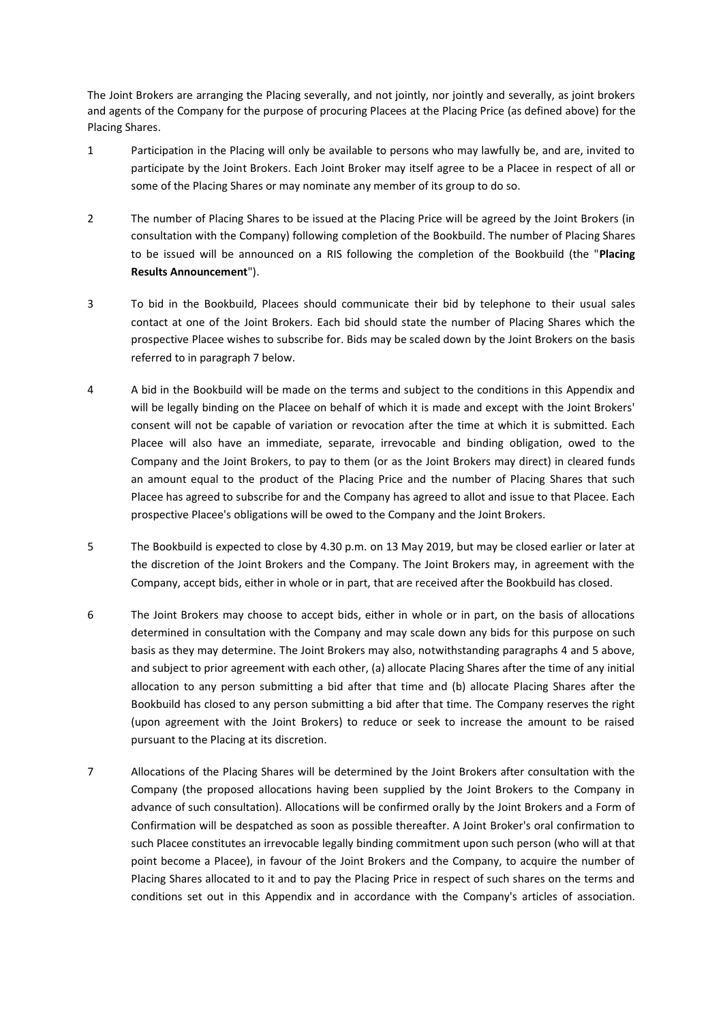The Joint Brokers are arranging the Placing severally, and not jointly, nor jointly and severally, as joint brokers and agents of the Company for the purpose of procuring Placees at the Placing Price (as defined above) for the Placing Shares.

- 1 Participation in the Placing will only be available to persons who may lawfully be, and are, invited to participate by the Joint Brokers. Each Joint Broker may itself agree to be a Placee in respect of all or some of the Placing Shares or may nominate any member of its group to do so.
- 2 The number of Placing Shares to be issued at the Placing Price will be agreed by the Joint Brokers (in consultation with the Company) following completion of the Bookbuild. The number of Placing Shares to be issued will be announced on a RIS following the completion of the Bookbuild (the "**Placing Results Announcement**").
- 3 To bid in the Bookbuild, Placees should communicate their bid by telephone to their usual sales contact at one of the Joint Brokers. Each bid should state the number of Placing Shares which the prospective Placee wishes to subscribe for. Bids may be scaled down by the Joint Brokers on the basis referred to in paragraph 7 below.
- 4 A bid in the Bookbuild will be made on the terms and subject to the conditions in this Appendix and will be legally binding on the Placee on behalf of which it is made and except with the Joint Brokers' consent will not be capable of variation or revocation after the time at which it is submitted. Each Placee will also have an immediate, separate, irrevocable and binding obligation, owed to the Company and the Joint Brokers, to pay to them (or as the Joint Brokers may direct) in cleared funds an amount equal to the product of the Placing Price and the number of Placing Shares that such Placee has agreed to subscribe for and the Company has agreed to allot and issue to that Placee. Each prospective Placee's obligations will be owed to the Company and the Joint Brokers.
- 5 The Bookbuild is expected to close by 4.30 p.m. on 13 May 2019, but may be closed earlier or later at the discretion of the Joint Brokers and the Company. The Joint Brokers may, in agreement with the Company, accept bids, either in whole or in part, that are received after the Bookbuild has closed.
- 6 The Joint Brokers may choose to accept bids, either in whole or in part, on the basis of allocations determined in consultation with the Company and may scale down any bids for this purpose on such basis as they may determine. The Joint Brokers may also, notwithstanding paragraphs 4 and 5 above, and subject to prior agreement with each other, (a) allocate Placing Shares after the time of any initial allocation to any person submitting a bid after that time and (b) allocate Placing Shares after the Bookbuild has closed to any person submitting a bid after that time. The Company reserves the right (upon agreement with the Joint Brokers) to reduce or seek to increase the amount to be raised pursuant to the Placing at its discretion.
- 7 Allocations of the Placing Shares will be determined by the Joint Brokers after consultation with the Company (the proposed allocations having been supplied by the Joint Brokers to the Company in advance of such consultation). Allocations will be confirmed orally by the Joint Brokers and a Form of Confirmation will be despatched as soon as possible thereafter. A Joint Broker's oral confirmation to such Placee constitutes an irrevocable legally binding commitment upon such person (who will at that point become a Placee), in favour of the Joint Brokers and the Company, to acquire the number of Placing Shares allocated to it and to pay the Placing Price in respect of such shares on the terms and conditions set out in this Appendix and in accordance with the Company's articles of association.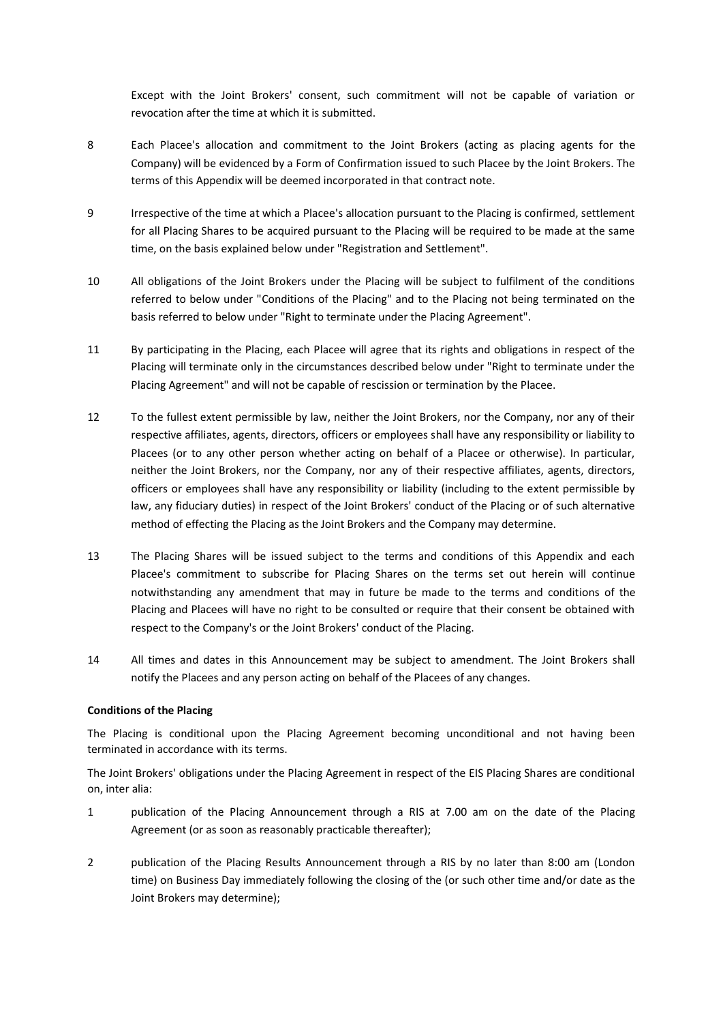Except with the Joint Brokers' consent, such commitment will not be capable of variation or revocation after the time at which it is submitted.

- 8 Each Placee's allocation and commitment to the Joint Brokers (acting as placing agents for the Company) will be evidenced by a Form of Confirmation issued to such Placee by the Joint Brokers. The terms of this Appendix will be deemed incorporated in that contract note.
- 9 Irrespective of the time at which a Placee's allocation pursuant to the Placing is confirmed, settlement for all Placing Shares to be acquired pursuant to the Placing will be required to be made at the same time, on the basis explained below under "Registration and Settlement".
- 10 All obligations of the Joint Brokers under the Placing will be subject to fulfilment of the conditions referred to below under "Conditions of the Placing" and to the Placing not being terminated on the basis referred to below under "Right to terminate under the Placing Agreement".
- 11 By participating in the Placing, each Placee will agree that its rights and obligations in respect of the Placing will terminate only in the circumstances described below under "Right to terminate under the Placing Agreement" and will not be capable of rescission or termination by the Placee.
- 12 To the fullest extent permissible by law, neither the Joint Brokers, nor the Company, nor any of their respective affiliates, agents, directors, officers or employees shall have any responsibility or liability to Placees (or to any other person whether acting on behalf of a Placee or otherwise). In particular, neither the Joint Brokers, nor the Company, nor any of their respective affiliates, agents, directors, officers or employees shall have any responsibility or liability (including to the extent permissible by law, any fiduciary duties) in respect of the Joint Brokers' conduct of the Placing or of such alternative method of effecting the Placing as the Joint Brokers and the Company may determine.
- 13 The Placing Shares will be issued subject to the terms and conditions of this Appendix and each Placee's commitment to subscribe for Placing Shares on the terms set out herein will continue notwithstanding any amendment that may in future be made to the terms and conditions of the Placing and Placees will have no right to be consulted or require that their consent be obtained with respect to the Company's or the Joint Brokers' conduct of the Placing.
- 14 All times and dates in this Announcement may be subject to amendment. The Joint Brokers shall notify the Placees and any person acting on behalf of the Placees of any changes.

# **Conditions of the Placing**

The Placing is conditional upon the Placing Agreement becoming unconditional and not having been terminated in accordance with its terms.

The Joint Brokers' obligations under the Placing Agreement in respect of the EIS Placing Shares are conditional on, inter alia:

- 1 publication of the Placing Announcement through a RIS at 7.00 am on the date of the Placing Agreement (or as soon as reasonably practicable thereafter);
- 2 publication of the Placing Results Announcement through a RIS by no later than 8:00 am (London time) on Business Day immediately following the closing of the (or such other time and/or date as the Joint Brokers may determine);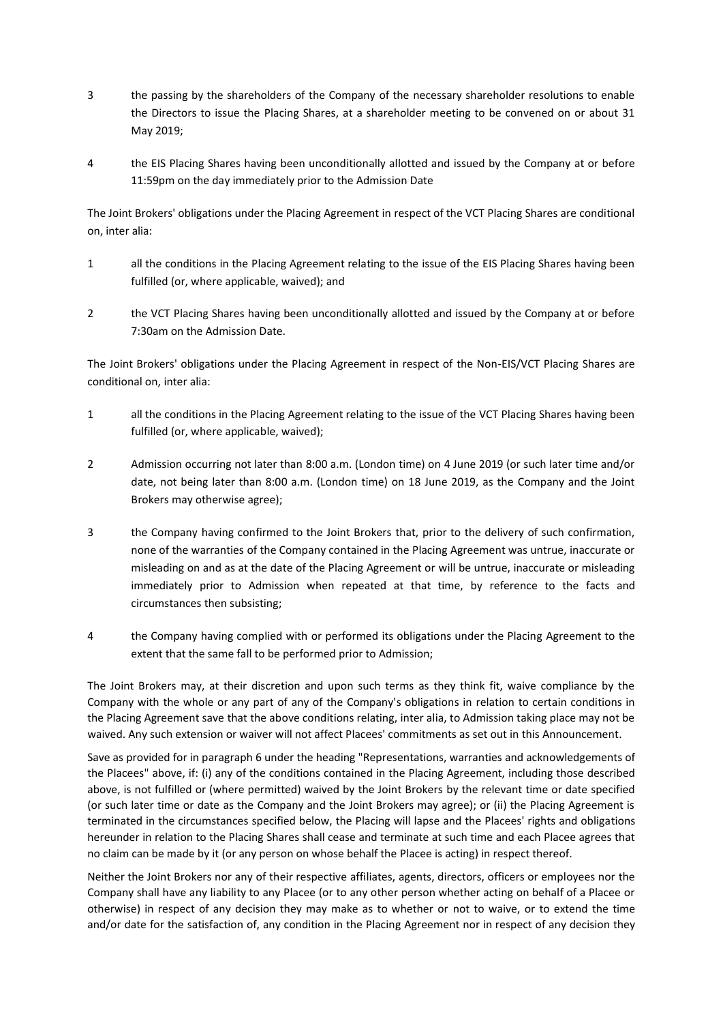- 3 the passing by the shareholders of the Company of the necessary shareholder resolutions to enable the Directors to issue the Placing Shares, at a shareholder meeting to be convened on or about 31 May 2019;
- 4 the EIS Placing Shares having been unconditionally allotted and issued by the Company at or before 11:59pm on the day immediately prior to the Admission Date

The Joint Brokers' obligations under the Placing Agreement in respect of the VCT Placing Shares are conditional on, inter alia:

- 1 all the conditions in the Placing Agreement relating to the issue of the EIS Placing Shares having been fulfilled (or, where applicable, waived); and
- 2 the VCT Placing Shares having been unconditionally allotted and issued by the Company at or before 7:30am on the Admission Date.

The Joint Brokers' obligations under the Placing Agreement in respect of the Non-EIS/VCT Placing Shares are conditional on, inter alia:

- 1 all the conditions in the Placing Agreement relating to the issue of the VCT Placing Shares having been fulfilled (or, where applicable, waived);
- 2 Admission occurring not later than 8:00 a.m. (London time) on 4 June 2019 (or such later time and/or date, not being later than 8:00 a.m. (London time) on 18 June 2019, as the Company and the Joint Brokers may otherwise agree);
- 3 the Company having confirmed to the Joint Brokers that, prior to the delivery of such confirmation, none of the warranties of the Company contained in the Placing Agreement was untrue, inaccurate or misleading on and as at the date of the Placing Agreement or will be untrue, inaccurate or misleading immediately prior to Admission when repeated at that time, by reference to the facts and circumstances then subsisting;
- 4 the Company having complied with or performed its obligations under the Placing Agreement to the extent that the same fall to be performed prior to Admission;

The Joint Brokers may, at their discretion and upon such terms as they think fit, waive compliance by the Company with the whole or any part of any of the Company's obligations in relation to certain conditions in the Placing Agreement save that the above conditions relating, inter alia, to Admission taking place may not be waived. Any such extension or waiver will not affect Placees' commitments as set out in this Announcement.

Save as provided for in paragrap[h 6](#page-16-0) under the heading "Representations, warranties and acknowledgements of the Placees" above, if: (i) any of the conditions contained in the Placing Agreement, including those described above, is not fulfilled or (where permitted) waived by the Joint Brokers by the relevant time or date specified (or such later time or date as the Company and the Joint Brokers may agree); or (ii) the Placing Agreement is terminated in the circumstances specified below, the Placing will lapse and the Placees' rights and obligations hereunder in relation to the Placing Shares shall cease and terminate at such time and each Placee agrees that no claim can be made by it (or any person on whose behalf the Placee is acting) in respect thereof.

Neither the Joint Brokers nor any of their respective affiliates, agents, directors, officers or employees nor the Company shall have any liability to any Placee (or to any other person whether acting on behalf of a Placee or otherwise) in respect of any decision they may make as to whether or not to waive, or to extend the time and/or date for the satisfaction of, any condition in the Placing Agreement nor in respect of any decision they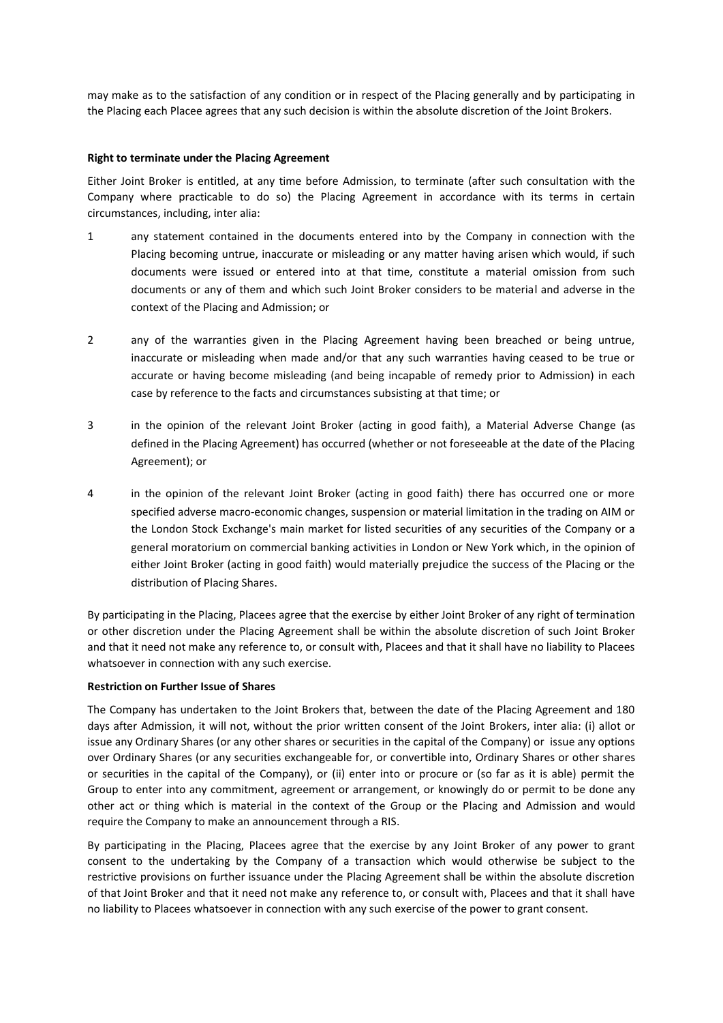may make as to the satisfaction of any condition or in respect of the Placing generally and by participating in the Placing each Placee agrees that any such decision is within the absolute discretion of the Joint Brokers.

### **Right to terminate under the Placing Agreement**

Either Joint Broker is entitled, at any time before Admission, to terminate (after such consultation with the Company where practicable to do so) the Placing Agreement in accordance with its terms in certain circumstances, including, inter alia:

- 1 any statement contained in the documents entered into by the Company in connection with the Placing becoming untrue, inaccurate or misleading or any matter having arisen which would, if such documents were issued or entered into at that time, constitute a material omission from such documents or any of them and which such Joint Broker considers to be material and adverse in the context of the Placing and Admission; or
- 2 any of the warranties given in the Placing Agreement having been breached or being untrue, inaccurate or misleading when made and/or that any such warranties having ceased to be true or accurate or having become misleading (and being incapable of remedy prior to Admission) in each case by reference to the facts and circumstances subsisting at that time; or
- 3 in the opinion of the relevant Joint Broker (acting in good faith), a Material Adverse Change (as defined in the Placing Agreement) has occurred (whether or not foreseeable at the date of the Placing Agreement); or
- 4 in the opinion of the relevant Joint Broker (acting in good faith) there has occurred one or more specified adverse macro-economic changes, suspension or material limitation in the trading on AIM or the London Stock Exchange's main market for listed securities of any securities of the Company or a general moratorium on commercial banking activities in London or New York which, in the opinion of either Joint Broker (acting in good faith) would materially prejudice the success of the Placing or the distribution of Placing Shares.

By participating in the Placing, Placees agree that the exercise by either Joint Broker of any right of termination or other discretion under the Placing Agreement shall be within the absolute discretion of such Joint Broker and that it need not make any reference to, or consult with, Placees and that it shall have no liability to Placees whatsoever in connection with any such exercise.

### **Restriction on Further Issue of Shares**

The Company has undertaken to the Joint Brokers that, between the date of the Placing Agreement and 180 days after Admission, it will not, without the prior written consent of the Joint Brokers, inter alia: (i) allot or issue any Ordinary Shares (or any other shares or securities in the capital of the Company) or issue any options over Ordinary Shares (or any securities exchangeable for, or convertible into, Ordinary Shares or other shares or securities in the capital of the Company), or (ii) enter into or procure or (so far as it is able) permit the Group to enter into any commitment, agreement or arrangement, or knowingly do or permit to be done any other act or thing which is material in the context of the Group or the Placing and Admission and would require the Company to make an announcement through a RIS.

By participating in the Placing, Placees agree that the exercise by any Joint Broker of any power to grant consent to the undertaking by the Company of a transaction which would otherwise be subject to the restrictive provisions on further issuance under the Placing Agreement shall be within the absolute discretion of that Joint Broker and that it need not make any reference to, or consult with, Placees and that it shall have no liability to Placees whatsoever in connection with any such exercise of the power to grant consent.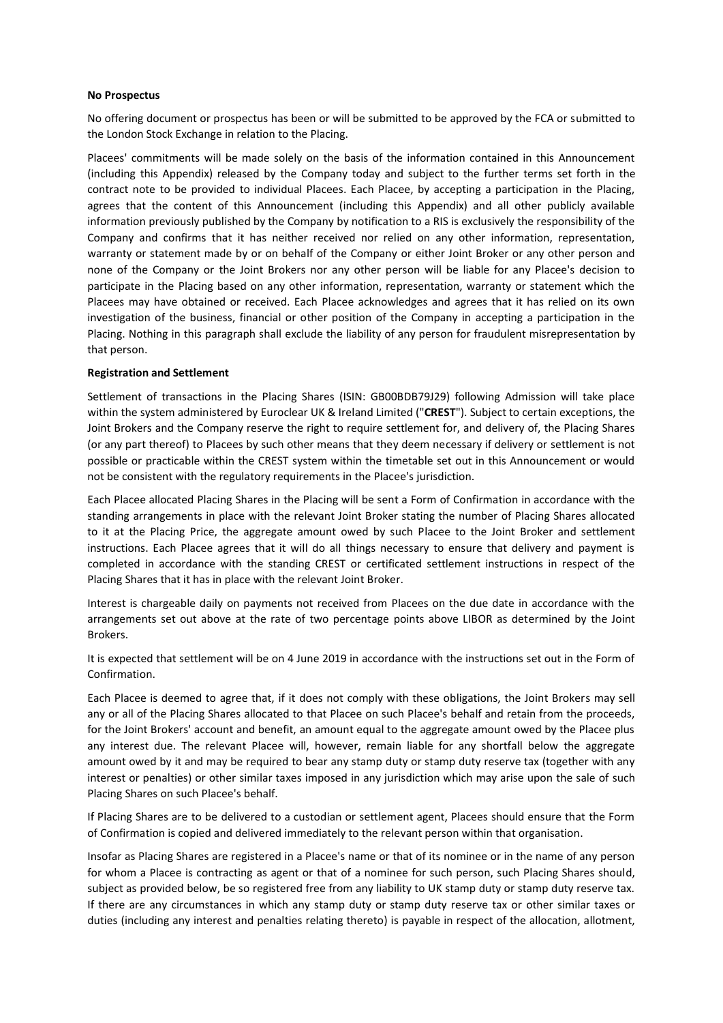### **No Prospectus**

No offering document or prospectus has been or will be submitted to be approved by the FCA or submitted to the London Stock Exchange in relation to the Placing.

Placees' commitments will be made solely on the basis of the information contained in this Announcement (including this Appendix) released by the Company today and subject to the further terms set forth in the contract note to be provided to individual Placees. Each Placee, by accepting a participation in the Placing, agrees that the content of this Announcement (including this Appendix) and all other publicly available information previously published by the Company by notification to a RIS is exclusively the responsibility of the Company and confirms that it has neither received nor relied on any other information, representation, warranty or statement made by or on behalf of the Company or either Joint Broker or any other person and none of the Company or the Joint Brokers nor any other person will be liable for any Placee's decision to participate in the Placing based on any other information, representation, warranty or statement which the Placees may have obtained or received. Each Placee acknowledges and agrees that it has relied on its own investigation of the business, financial or other position of the Company in accepting a participation in the Placing. Nothing in this paragraph shall exclude the liability of any person for fraudulent misrepresentation by that person.

### **Registration and Settlement**

Settlement of transactions in the Placing Shares (ISIN: GB00BDB79J29) following Admission will take place within the system administered by Euroclear UK & Ireland Limited ("**CREST**"). Subject to certain exceptions, the Joint Brokers and the Company reserve the right to require settlement for, and delivery of, the Placing Shares (or any part thereof) to Placees by such other means that they deem necessary if delivery or settlement is not possible or practicable within the CREST system within the timetable set out in this Announcement or would not be consistent with the regulatory requirements in the Placee's jurisdiction.

Each Placee allocated Placing Shares in the Placing will be sent a Form of Confirmation in accordance with the standing arrangements in place with the relevant Joint Broker stating the number of Placing Shares allocated to it at the Placing Price, the aggregate amount owed by such Placee to the Joint Broker and settlement instructions. Each Placee agrees that it will do all things necessary to ensure that delivery and payment is completed in accordance with the standing CREST or certificated settlement instructions in respect of the Placing Shares that it has in place with the relevant Joint Broker.

Interest is chargeable daily on payments not received from Placees on the due date in accordance with the arrangements set out above at the rate of two percentage points above LIBOR as determined by the Joint Brokers.

It is expected that settlement will be on 4 June 2019 in accordance with the instructions set out in the Form of Confirmation.

Each Placee is deemed to agree that, if it does not comply with these obligations, the Joint Brokers may sell any or all of the Placing Shares allocated to that Placee on such Placee's behalf and retain from the proceeds, for the Joint Brokers' account and benefit, an amount equal to the aggregate amount owed by the Placee plus any interest due. The relevant Placee will, however, remain liable for any shortfall below the aggregate amount owed by it and may be required to bear any stamp duty or stamp duty reserve tax (together with any interest or penalties) or other similar taxes imposed in any jurisdiction which may arise upon the sale of such Placing Shares on such Placee's behalf.

If Placing Shares are to be delivered to a custodian or settlement agent, Placees should ensure that the Form of Confirmation is copied and delivered immediately to the relevant person within that organisation.

Insofar as Placing Shares are registered in a Placee's name or that of its nominee or in the name of any person for whom a Placee is contracting as agent or that of a nominee for such person, such Placing Shares should, subject as provided below, be so registered free from any liability to UK stamp duty or stamp duty reserve tax. If there are any circumstances in which any stamp duty or stamp duty reserve tax or other similar taxes or duties (including any interest and penalties relating thereto) is payable in respect of the allocation, allotment,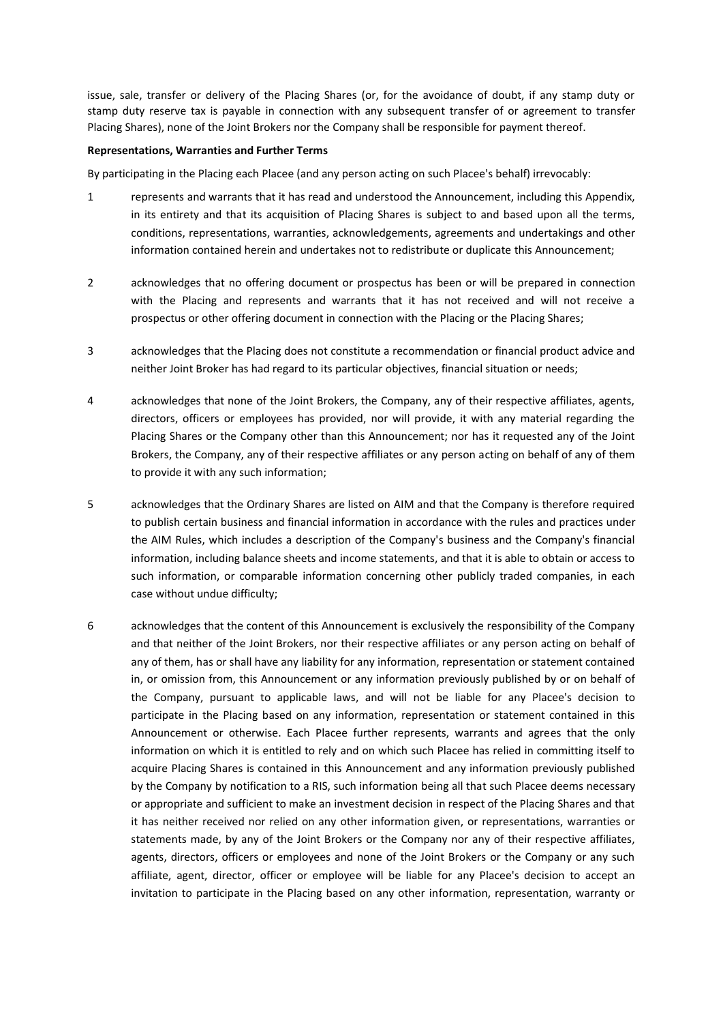issue, sale, transfer or delivery of the Placing Shares (or, for the avoidance of doubt, if any stamp duty or stamp duty reserve tax is payable in connection with any subsequent transfer of or agreement to transfer Placing Shares), none of the Joint Brokers nor the Company shall be responsible for payment thereof.

### **Representations, Warranties and Further Terms**

By participating in the Placing each Placee (and any person acting on such Placee's behalf) irrevocably:

- 1 represents and warrants that it has read and understood the Announcement, including this Appendix, in its entirety and that its acquisition of Placing Shares is subject to and based upon all the terms, conditions, representations, warranties, acknowledgements, agreements and undertakings and other information contained herein and undertakes not to redistribute or duplicate this Announcement;
- 2 acknowledges that no offering document or prospectus has been or will be prepared in connection with the Placing and represents and warrants that it has not received and will not receive a prospectus or other offering document in connection with the Placing or the Placing Shares;
- 3 acknowledges that the Placing does not constitute a recommendation or financial product advice and neither Joint Broker has had regard to its particular objectives, financial situation or needs;
- 4 acknowledges that none of the Joint Brokers, the Company, any of their respective affiliates, agents, directors, officers or employees has provided, nor will provide, it with any material regarding the Placing Shares or the Company other than this Announcement; nor has it requested any of the Joint Brokers, the Company, any of their respective affiliates or any person acting on behalf of any of them to provide it with any such information;
- 5 acknowledges that the Ordinary Shares are listed on AIM and that the Company is therefore required to publish certain business and financial information in accordance with the rules and practices under the AIM Rules, which includes a description of the Company's business and the Company's financial information, including balance sheets and income statements, and that it is able to obtain or access to such information, or comparable information concerning other publicly traded companies, in each case without undue difficulty;
- 6 acknowledges that the content of this Announcement is exclusively the responsibility of the Company and that neither of the Joint Brokers, nor their respective affiliates or any person acting on behalf of any of them, has or shall have any liability for any information, representation or statement contained in, or omission from, this Announcement or any information previously published by or on behalf of the Company, pursuant to applicable laws, and will not be liable for any Placee's decision to participate in the Placing based on any information, representation or statement contained in this Announcement or otherwise. Each Placee further represents, warrants and agrees that the only information on which it is entitled to rely and on which such Placee has relied in committing itself to acquire Placing Shares is contained in this Announcement and any information previously published by the Company by notification to a RIS, such information being all that such Placee deems necessary or appropriate and sufficient to make an investment decision in respect of the Placing Shares and that it has neither received nor relied on any other information given, or representations, warranties or statements made, by any of the Joint Brokers or the Company nor any of their respective affiliates, agents, directors, officers or employees and none of the Joint Brokers or the Company or any such affiliate, agent, director, officer or employee will be liable for any Placee's decision to accept an invitation to participate in the Placing based on any other information, representation, warranty or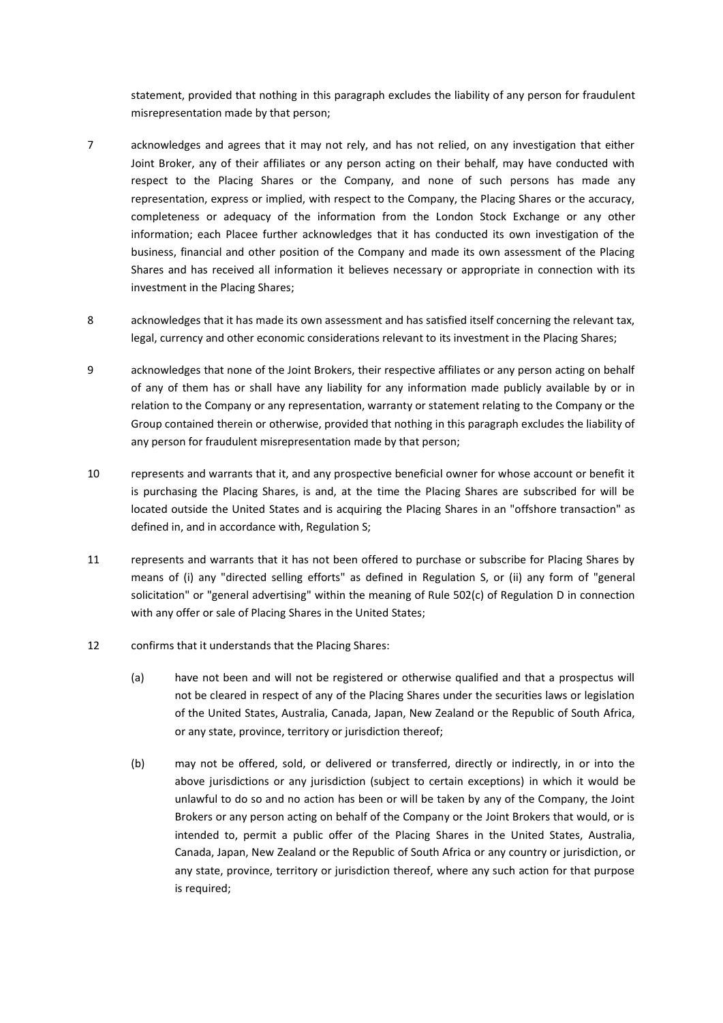statement, provided that nothing in this paragraph excludes the liability of any person for fraudulent misrepresentation made by that person;

- 7 acknowledges and agrees that it may not rely, and has not relied, on any investigation that either Joint Broker, any of their affiliates or any person acting on their behalf, may have conducted with respect to the Placing Shares or the Company, and none of such persons has made any representation, express or implied, with respect to the Company, the Placing Shares or the accuracy, completeness or adequacy of the information from the London Stock Exchange or any other information; each Placee further acknowledges that it has conducted its own investigation of the business, financial and other position of the Company and made its own assessment of the Placing Shares and has received all information it believes necessary or appropriate in connection with its investment in the Placing Shares;
- 8 acknowledges that it has made its own assessment and has satisfied itself concerning the relevant tax, legal, currency and other economic considerations relevant to its investment in the Placing Shares;
- 9 acknowledges that none of the Joint Brokers, their respective affiliates or any person acting on behalf of any of them has or shall have any liability for any information made publicly available by or in relation to the Company or any representation, warranty or statement relating to the Company or the Group contained therein or otherwise, provided that nothing in this paragraph excludes the liability of any person for fraudulent misrepresentation made by that person;
- 10 represents and warrants that it, and any prospective beneficial owner for whose account or benefit it is purchasing the Placing Shares, is and, at the time the Placing Shares are subscribed for will be located outside the United States and is acquiring the Placing Shares in an "offshore transaction" as defined in, and in accordance with, Regulation S;
- 11 represents and warrants that it has not been offered to purchase or subscribe for Placing Shares by means of (i) any "directed selling efforts" as defined in Regulation S, or (ii) any form of "general solicitation" or "general advertising" within the meaning of Rule 502(c) of Regulation D in connection with any offer or sale of Placing Shares in the United States;
- 12 confirms that it understands that the Placing Shares:
	- (a) have not been and will not be registered or otherwise qualified and that a prospectus will not be cleared in respect of any of the Placing Shares under the securities laws or legislation of the United States, Australia, Canada, Japan, New Zealand or the Republic of South Africa, or any state, province, territory or jurisdiction thereof;
	- (b) may not be offered, sold, or delivered or transferred, directly or indirectly, in or into the above jurisdictions or any jurisdiction (subject to certain exceptions) in which it would be unlawful to do so and no action has been or will be taken by any of the Company, the Joint Brokers or any person acting on behalf of the Company or the Joint Brokers that would, or is intended to, permit a public offer of the Placing Shares in the United States, Australia, Canada, Japan, New Zealand or the Republic of South Africa or any country or jurisdiction, or any state, province, territory or jurisdiction thereof, where any such action for that purpose is required;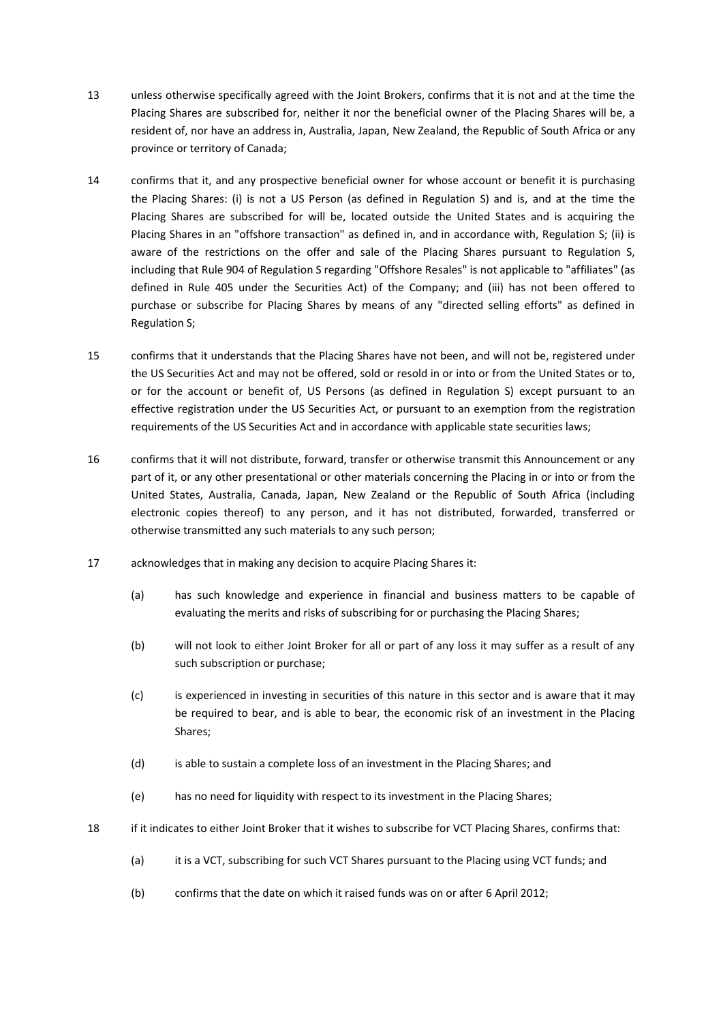- 13 unless otherwise specifically agreed with the Joint Brokers, confirms that it is not and at the time the Placing Shares are subscribed for, neither it nor the beneficial owner of the Placing Shares will be, a resident of, nor have an address in, Australia, Japan, New Zealand, the Republic of South Africa or any province or territory of Canada;
- 14 confirms that it, and any prospective beneficial owner for whose account or benefit it is purchasing the Placing Shares: (i) is not a US Person (as defined in Regulation S) and is, and at the time the Placing Shares are subscribed for will be, located outside the United States and is acquiring the Placing Shares in an "offshore transaction" as defined in, and in accordance with, Regulation S; (ii) is aware of the restrictions on the offer and sale of the Placing Shares pursuant to Regulation S, including that Rule 904 of Regulation S regarding "Offshore Resales" is not applicable to "affiliates" (as defined in Rule 405 under the Securities Act) of the Company; and (iii) has not been offered to purchase or subscribe for Placing Shares by means of any "directed selling efforts" as defined in Regulation S;
- 15 confirms that it understands that the Placing Shares have not been, and will not be, registered under the US Securities Act and may not be offered, sold or resold in or into or from the United States or to, or for the account or benefit of, US Persons (as defined in Regulation S) except pursuant to an effective registration under the US Securities Act, or pursuant to an exemption from the registration requirements of the US Securities Act and in accordance with applicable state securities laws;
- 16 confirms that it will not distribute, forward, transfer or otherwise transmit this Announcement or any part of it, or any other presentational or other materials concerning the Placing in or into or from the United States, Australia, Canada, Japan, New Zealand or the Republic of South Africa (including electronic copies thereof) to any person, and it has not distributed, forwarded, transferred or otherwise transmitted any such materials to any such person;
- 17 acknowledges that in making any decision to acquire Placing Shares it:
	- (a) has such knowledge and experience in financial and business matters to be capable of evaluating the merits and risks of subscribing for or purchasing the Placing Shares;
	- (b) will not look to either Joint Broker for all or part of any loss it may suffer as a result of any such subscription or purchase;
	- (c) is experienced in investing in securities of this nature in this sector and is aware that it may be required to bear, and is able to bear, the economic risk of an investment in the Placing Shares;
	- (d) is able to sustain a complete loss of an investment in the Placing Shares; and
	- (e) has no need for liquidity with respect to its investment in the Placing Shares;
- 18 if it indicates to either Joint Broker that it wishes to subscribe for VCT Placing Shares, confirms that:
	- (a) it is a VCT, subscribing for such VCT Shares pursuant to the Placing using VCT funds; and
	- (b) confirms that the date on which it raised funds was on or after 6 April 2012;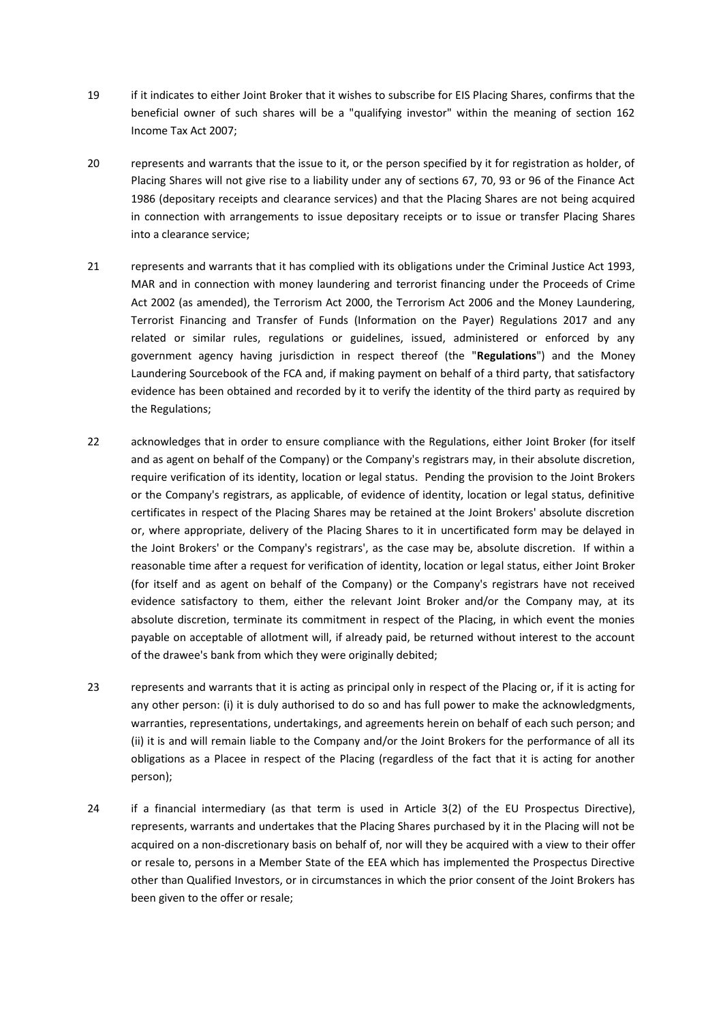- 19 if it indicates to either Joint Broker that it wishes to subscribe for EIS Placing Shares, confirms that the beneficial owner of such shares will be a "qualifying investor" within the meaning of section 162 Income Tax Act 2007;
- 20 represents and warrants that the issue to it, or the person specified by it for registration as holder, of Placing Shares will not give rise to a liability under any of sections 67, 70, 93 or 96 of the Finance Act 1986 (depositary receipts and clearance services) and that the Placing Shares are not being acquired in connection with arrangements to issue depositary receipts or to issue or transfer Placing Shares into a clearance service;
- 21 represents and warrants that it has complied with its obligations under the Criminal Justice Act 1993, MAR and in connection with money laundering and terrorist financing under the Proceeds of Crime Act 2002 (as amended), the Terrorism Act 2000, the Terrorism Act 2006 and the Money Laundering, Terrorist Financing and Transfer of Funds (Information on the Payer) Regulations 2017 and any related or similar rules, regulations or guidelines, issued, administered or enforced by any government agency having jurisdiction in respect thereof (the "**Regulations**") and the Money Laundering Sourcebook of the FCA and, if making payment on behalf of a third party, that satisfactory evidence has been obtained and recorded by it to verify the identity of the third party as required by the Regulations;
- 22 acknowledges that in order to ensure compliance with the Regulations, either Joint Broker (for itself and as agent on behalf of the Company) or the Company's registrars may, in their absolute discretion, require verification of its identity, location or legal status. Pending the provision to the Joint Brokers or the Company's registrars, as applicable, of evidence of identity, location or legal status, definitive certificates in respect of the Placing Shares may be retained at the Joint Brokers' absolute discretion or, where appropriate, delivery of the Placing Shares to it in uncertificated form may be delayed in the Joint Brokers' or the Company's registrars', as the case may be, absolute discretion. If within a reasonable time after a request for verification of identity, location or legal status, either Joint Broker (for itself and as agent on behalf of the Company) or the Company's registrars have not received evidence satisfactory to them, either the relevant Joint Broker and/or the Company may, at its absolute discretion, terminate its commitment in respect of the Placing, in which event the monies payable on acceptable of allotment will, if already paid, be returned without interest to the account of the drawee's bank from which they were originally debited;
- 23 represents and warrants that it is acting as principal only in respect of the Placing or, if it is acting for any other person: (i) it is duly authorised to do so and has full power to make the acknowledgments, warranties, representations, undertakings, and agreements herein on behalf of each such person; and (ii) it is and will remain liable to the Company and/or the Joint Brokers for the performance of all its obligations as a Placee in respect of the Placing (regardless of the fact that it is acting for another person);
- 24 if a financial intermediary (as that term is used in Article 3(2) of the EU Prospectus Directive), represents, warrants and undertakes that the Placing Shares purchased by it in the Placing will not be acquired on a non-discretionary basis on behalf of, nor will they be acquired with a view to their offer or resale to, persons in a Member State of the EEA which has implemented the Prospectus Directive other than Qualified Investors, or in circumstances in which the prior consent of the Joint Brokers has been given to the offer or resale;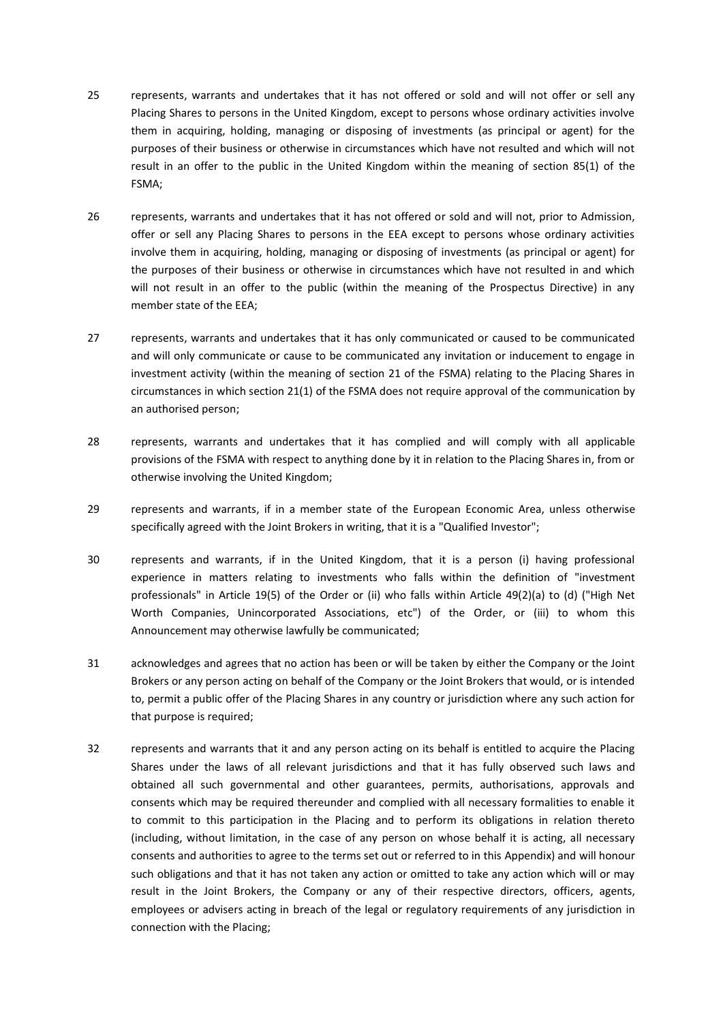- 25 represents, warrants and undertakes that it has not offered or sold and will not offer or sell any Placing Shares to persons in the United Kingdom, except to persons whose ordinary activities involve them in acquiring, holding, managing or disposing of investments (as principal or agent) for the purposes of their business or otherwise in circumstances which have not resulted and which will not result in an offer to the public in the United Kingdom within the meaning of section 85(1) of the FSMA;
- 26 represents, warrants and undertakes that it has not offered or sold and will not, prior to Admission, offer or sell any Placing Shares to persons in the EEA except to persons whose ordinary activities involve them in acquiring, holding, managing or disposing of investments (as principal or agent) for the purposes of their business or otherwise in circumstances which have not resulted in and which will not result in an offer to the public (within the meaning of the Prospectus Directive) in any member state of the EEA;
- 27 represents, warrants and undertakes that it has only communicated or caused to be communicated and will only communicate or cause to be communicated any invitation or inducement to engage in investment activity (within the meaning of section 21 of the FSMA) relating to the Placing Shares in circumstances in which section 21(1) of the FSMA does not require approval of the communication by an authorised person;
- 28 represents, warrants and undertakes that it has complied and will comply with all applicable provisions of the FSMA with respect to anything done by it in relation to the Placing Shares in, from or otherwise involving the United Kingdom;
- 29 represents and warrants, if in a member state of the European Economic Area, unless otherwise specifically agreed with the Joint Brokers in writing, that it is a "Qualified Investor";
- 30 represents and warrants, if in the United Kingdom, that it is a person (i) having professional experience in matters relating to investments who falls within the definition of "investment professionals" in Article 19(5) of the Order or (ii) who falls within Article 49(2)(a) to (d) ("High Net Worth Companies, Unincorporated Associations, etc") of the Order, or (iii) to whom this Announcement may otherwise lawfully be communicated;
- 31 acknowledges and agrees that no action has been or will be taken by either the Company or the Joint Brokers or any person acting on behalf of the Company or the Joint Brokers that would, or is intended to, permit a public offer of the Placing Shares in any country or jurisdiction where any such action for that purpose is required;
- 32 represents and warrants that it and any person acting on its behalf is entitled to acquire the Placing Shares under the laws of all relevant jurisdictions and that it has fully observed such laws and obtained all such governmental and other guarantees, permits, authorisations, approvals and consents which may be required thereunder and complied with all necessary formalities to enable it to commit to this participation in the Placing and to perform its obligations in relation thereto (including, without limitation, in the case of any person on whose behalf it is acting, all necessary consents and authorities to agree to the terms set out or referred to in this Appendix) and will honour such obligations and that it has not taken any action or omitted to take any action which will or may result in the Joint Brokers, the Company or any of their respective directors, officers, agents, employees or advisers acting in breach of the legal or regulatory requirements of any jurisdiction in connection with the Placing;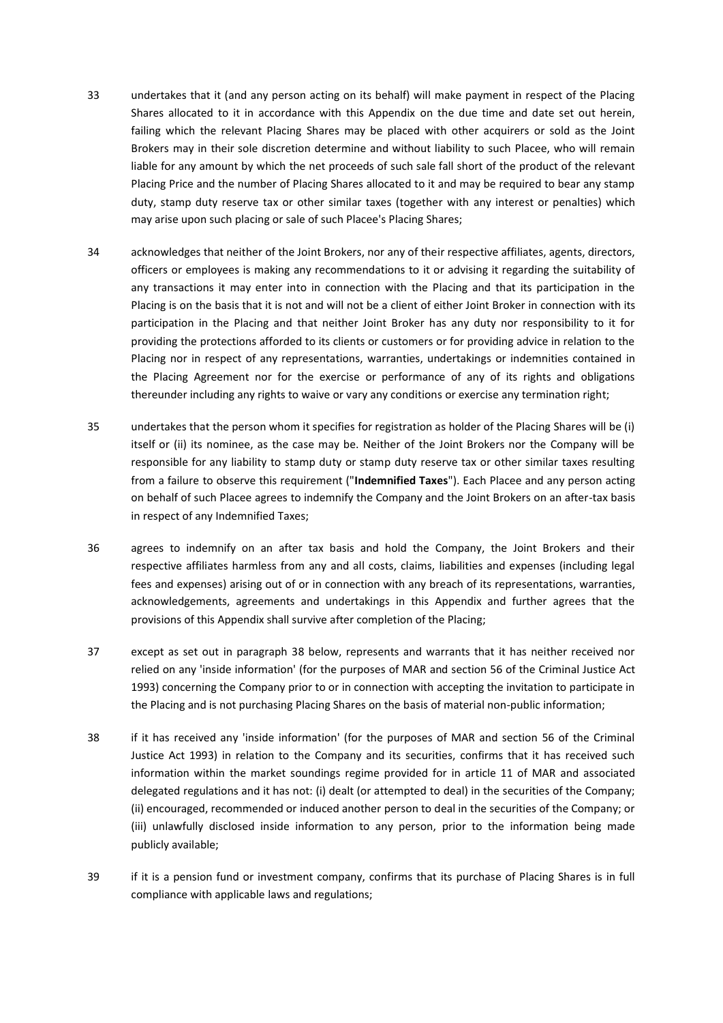- 33 undertakes that it (and any person acting on its behalf) will make payment in respect of the Placing Shares allocated to it in accordance with this Appendix on the due time and date set out herein, failing which the relevant Placing Shares may be placed with other acquirers or sold as the Joint Brokers may in their sole discretion determine and without liability to such Placee, who will remain liable for any amount by which the net proceeds of such sale fall short of the product of the relevant Placing Price and the number of Placing Shares allocated to it and may be required to bear any stamp duty, stamp duty reserve tax or other similar taxes (together with any interest or penalties) which may arise upon such placing or sale of such Placee's Placing Shares;
- 34 acknowledges that neither of the Joint Brokers, nor any of their respective affiliates, agents, directors, officers or employees is making any recommendations to it or advising it regarding the suitability of any transactions it may enter into in connection with the Placing and that its participation in the Placing is on the basis that it is not and will not be a client of either Joint Broker in connection with its participation in the Placing and that neither Joint Broker has any duty nor responsibility to it for providing the protections afforded to its clients or customers or for providing advice in relation to the Placing nor in respect of any representations, warranties, undertakings or indemnities contained in the Placing Agreement nor for the exercise or performance of any of its rights and obligations thereunder including any rights to waive or vary any conditions or exercise any termination right;
- 35 undertakes that the person whom it specifies for registration as holder of the Placing Shares will be (i) itself or (ii) its nominee, as the case may be. Neither of the Joint Brokers nor the Company will be responsible for any liability to stamp duty or stamp duty reserve tax or other similar taxes resulting from a failure to observe this requirement ("**Indemnified Taxes**"). Each Placee and any person acting on behalf of such Placee agrees to indemnify the Company and the Joint Brokers on an after-tax basis in respect of any Indemnified Taxes;
- 36 agrees to indemnify on an after tax basis and hold the Company, the Joint Brokers and their respective affiliates harmless from any and all costs, claims, liabilities and expenses (including legal fees and expenses) arising out of or in connection with any breach of its representations, warranties, acknowledgements, agreements and undertakings in this Appendix and further agrees that the provisions of this Appendix shall survive after completion of the Placing;
- 37 except as set out in paragraph [38](#page-27-0) below, represents and warrants that it has neither received nor relied on any 'inside information' (for the purposes of MAR and section 56 of the Criminal Justice Act 1993) concerning the Company prior to or in connection with accepting the invitation to participate in the Placing and is not purchasing Placing Shares on the basis of material non-public information;
- <span id="page-27-0"></span>38 if it has received any 'inside information' (for the purposes of MAR and section 56 of the Criminal Justice Act 1993) in relation to the Company and its securities, confirms that it has received such information within the market soundings regime provided for in article 11 of MAR and associated delegated regulations and it has not: (i) dealt (or attempted to deal) in the securities of the Company; (ii) encouraged, recommended or induced another person to deal in the securities of the Company; or (iii) unlawfully disclosed inside information to any person, prior to the information being made publicly available;
- 39 if it is a pension fund or investment company, confirms that its purchase of Placing Shares is in full compliance with applicable laws and regulations;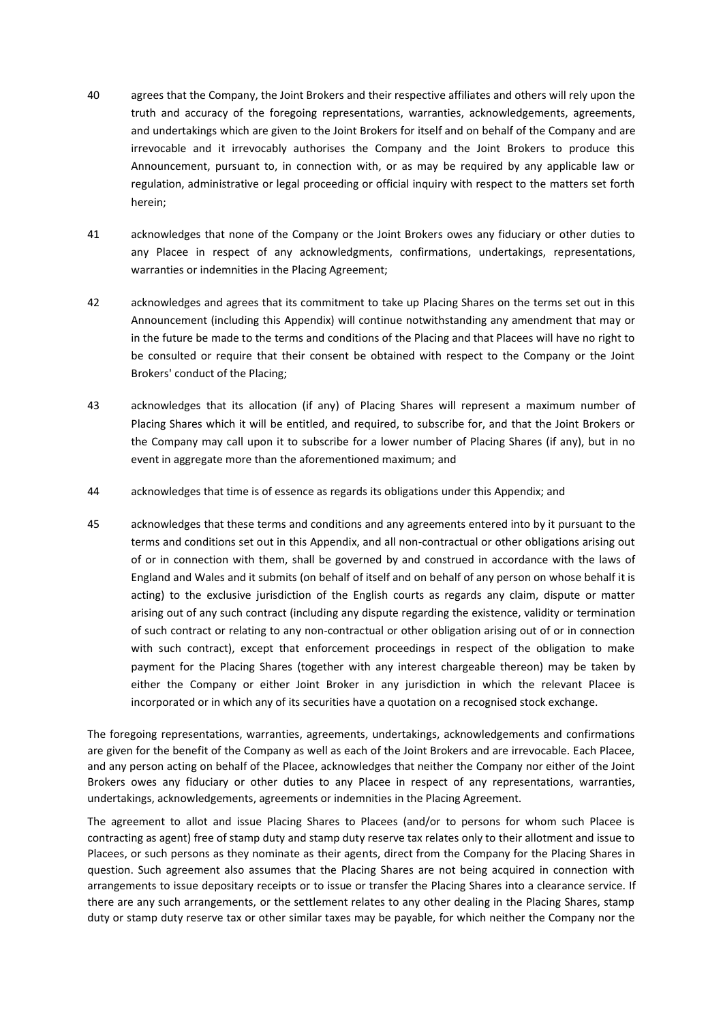- 40 agrees that the Company, the Joint Brokers and their respective affiliates and others will rely upon the truth and accuracy of the foregoing representations, warranties, acknowledgements, agreements, and undertakings which are given to the Joint Brokers for itself and on behalf of the Company and are irrevocable and it irrevocably authorises the Company and the Joint Brokers to produce this Announcement, pursuant to, in connection with, or as may be required by any applicable law or regulation, administrative or legal proceeding or official inquiry with respect to the matters set forth herein;
- 41 acknowledges that none of the Company or the Joint Brokers owes any fiduciary or other duties to any Placee in respect of any acknowledgments, confirmations, undertakings, representations, warranties or indemnities in the Placing Agreement;
- 42 acknowledges and agrees that its commitment to take up Placing Shares on the terms set out in this Announcement (including this Appendix) will continue notwithstanding any amendment that may or in the future be made to the terms and conditions of the Placing and that Placees will have no right to be consulted or require that their consent be obtained with respect to the Company or the Joint Brokers' conduct of the Placing;
- 43 acknowledges that its allocation (if any) of Placing Shares will represent a maximum number of Placing Shares which it will be entitled, and required, to subscribe for, and that the Joint Brokers or the Company may call upon it to subscribe for a lower number of Placing Shares (if any), but in no event in aggregate more than the aforementioned maximum; and
- 44 acknowledges that time is of essence as regards its obligations under this Appendix; and
- 45 acknowledges that these terms and conditions and any agreements entered into by it pursuant to the terms and conditions set out in this Appendix, and all non-contractual or other obligations arising out of or in connection with them, shall be governed by and construed in accordance with the laws of England and Wales and it submits (on behalf of itself and on behalf of any person on whose behalf it is acting) to the exclusive jurisdiction of the English courts as regards any claim, dispute or matter arising out of any such contract (including any dispute regarding the existence, validity or termination of such contract or relating to any non-contractual or other obligation arising out of or in connection with such contract), except that enforcement proceedings in respect of the obligation to make payment for the Placing Shares (together with any interest chargeable thereon) may be taken by either the Company or either Joint Broker in any jurisdiction in which the relevant Placee is incorporated or in which any of its securities have a quotation on a recognised stock exchange.

The foregoing representations, warranties, agreements, undertakings, acknowledgements and confirmations are given for the benefit of the Company as well as each of the Joint Brokers and are irrevocable. Each Placee, and any person acting on behalf of the Placee, acknowledges that neither the Company nor either of the Joint Brokers owes any fiduciary or other duties to any Placee in respect of any representations, warranties, undertakings, acknowledgements, agreements or indemnities in the Placing Agreement.

The agreement to allot and issue Placing Shares to Placees (and/or to persons for whom such Placee is contracting as agent) free of stamp duty and stamp duty reserve tax relates only to their allotment and issue to Placees, or such persons as they nominate as their agents, direct from the Company for the Placing Shares in question. Such agreement also assumes that the Placing Shares are not being acquired in connection with arrangements to issue depositary receipts or to issue or transfer the Placing Shares into a clearance service. If there are any such arrangements, or the settlement relates to any other dealing in the Placing Shares, stamp duty or stamp duty reserve tax or other similar taxes may be payable, for which neither the Company nor the